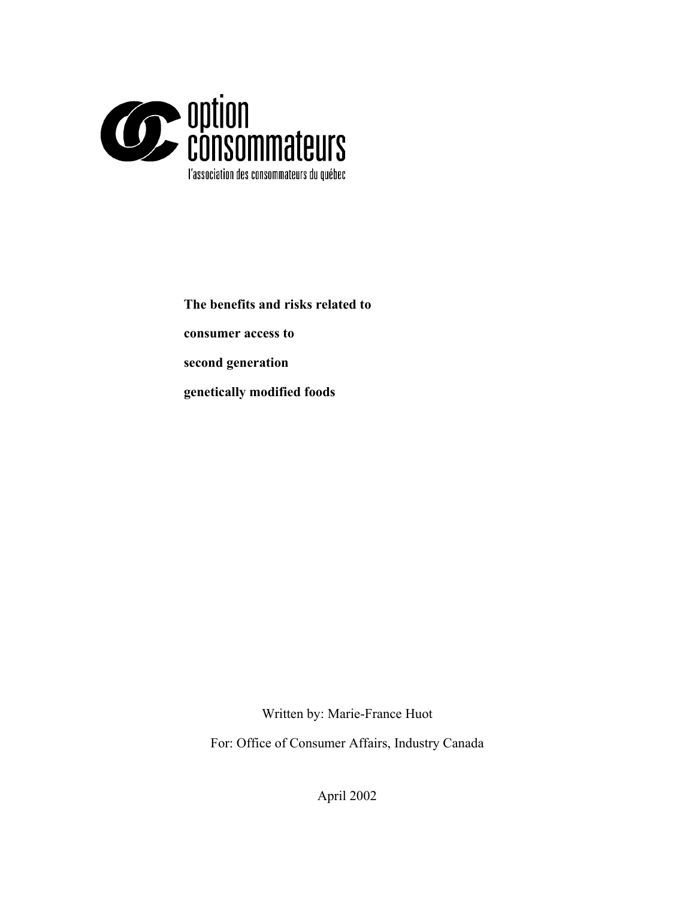

**The benefits and risks related to consumer access to second generation** 

**genetically modified foods**

Written by: Marie-France Huot

For: Office of Consumer Affairs, Industry Canada

April 2002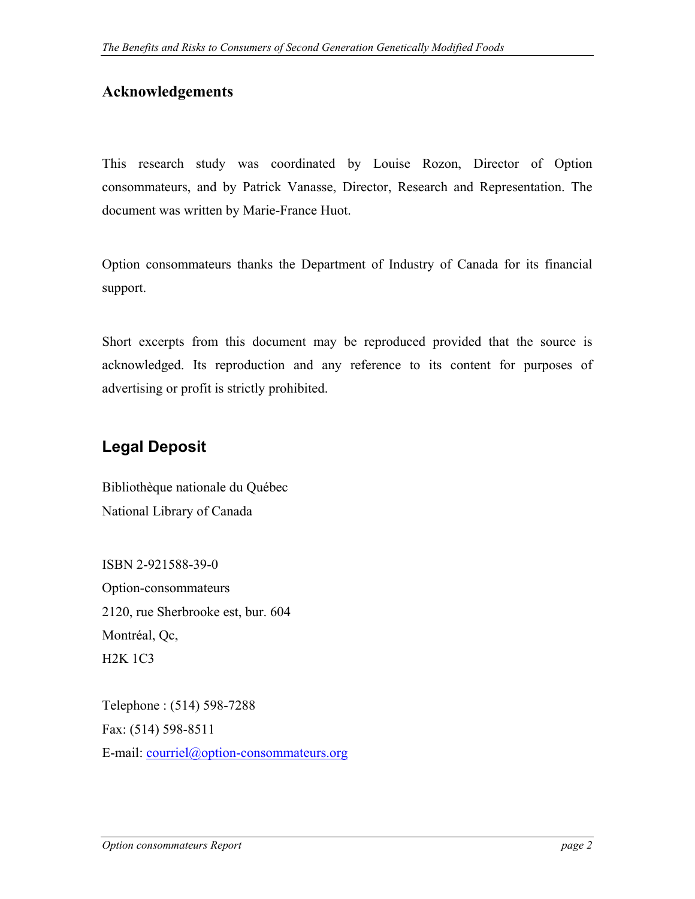### **Acknowledgements**

This research study was coordinated by Louise Rozon, Director of Option consommateurs, and by Patrick Vanasse, Director, Research and Representation. The document was written by Marie-France Huot.

Option consommateurs thanks the Department of Industry of Canada for its financial support.

Short excerpts from this document may be reproduced provided that the source is acknowledged. Its reproduction and any reference to its content for purposes of advertising or profit is strictly prohibited.

### **Legal Deposit**

Bibliothèque nationale du Québec National Library of Canada

ISBN 2-921588-39-0 Option-consommateurs 2120, rue Sherbrooke est, bur. 604 Montréal, Qc, H2K 1C3

Telephone : (514) 598-7288 Fax: (514) 598-8511 E-mail: [courriel@option-consommateurs.org](mailto:courriel@option-consommateurs.org)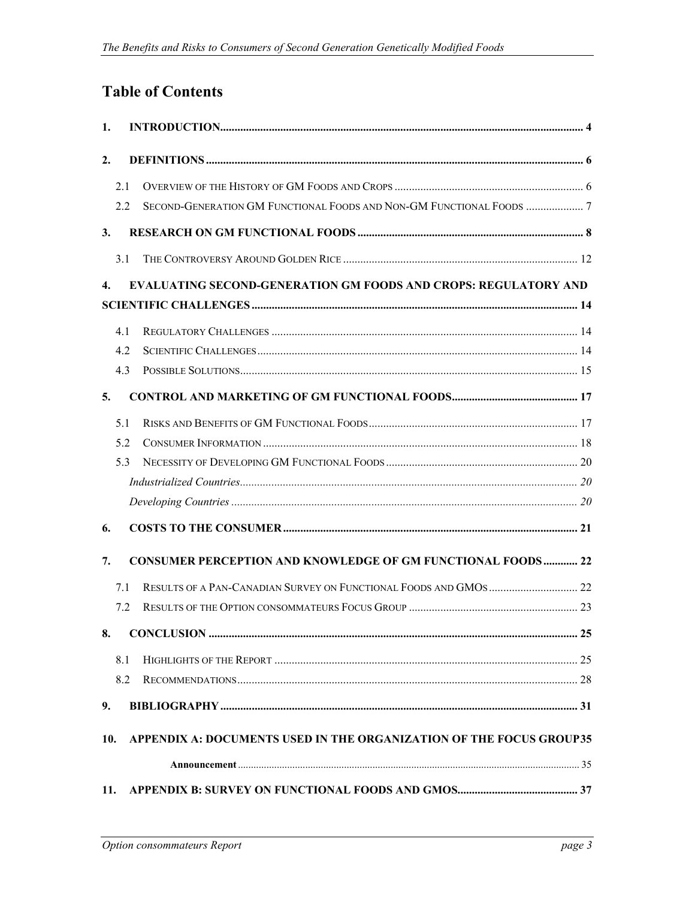# **Table of Contents**

| 1.  |     |                                                                        |  |  |
|-----|-----|------------------------------------------------------------------------|--|--|
| 2.  |     |                                                                        |  |  |
|     | 2.1 |                                                                        |  |  |
|     | 2.2 |                                                                        |  |  |
| 3.  |     |                                                                        |  |  |
|     | 3.1 |                                                                        |  |  |
| 4.  |     | <b>EVALUATING SECOND-GENERATION GM FOODS AND CROPS: REGULATORY AND</b> |  |  |
|     |     |                                                                        |  |  |
|     | 4.1 |                                                                        |  |  |
|     | 4.2 |                                                                        |  |  |
|     | 4.3 |                                                                        |  |  |
| 5.  |     |                                                                        |  |  |
|     | 5.1 |                                                                        |  |  |
|     | 5.2 |                                                                        |  |  |
|     | 5.3 |                                                                        |  |  |
|     |     |                                                                        |  |  |
|     |     |                                                                        |  |  |
| 6.  |     |                                                                        |  |  |
| 7.  |     | <b>CONSUMER PERCEPTION AND KNOWLEDGE OF GM FUNCTIONAL FOODS 22</b>     |  |  |
|     | 7.1 |                                                                        |  |  |
|     | 7.2 |                                                                        |  |  |
| 8.  |     |                                                                        |  |  |
|     | 8.1 |                                                                        |  |  |
|     | 8.2 |                                                                        |  |  |
| 9.  |     |                                                                        |  |  |
| 10. |     | APPENDIX A: DOCUMENTS USED IN THE ORGANIZATION OF THE FOCUS GROUP35    |  |  |
|     |     |                                                                        |  |  |
| 11. |     |                                                                        |  |  |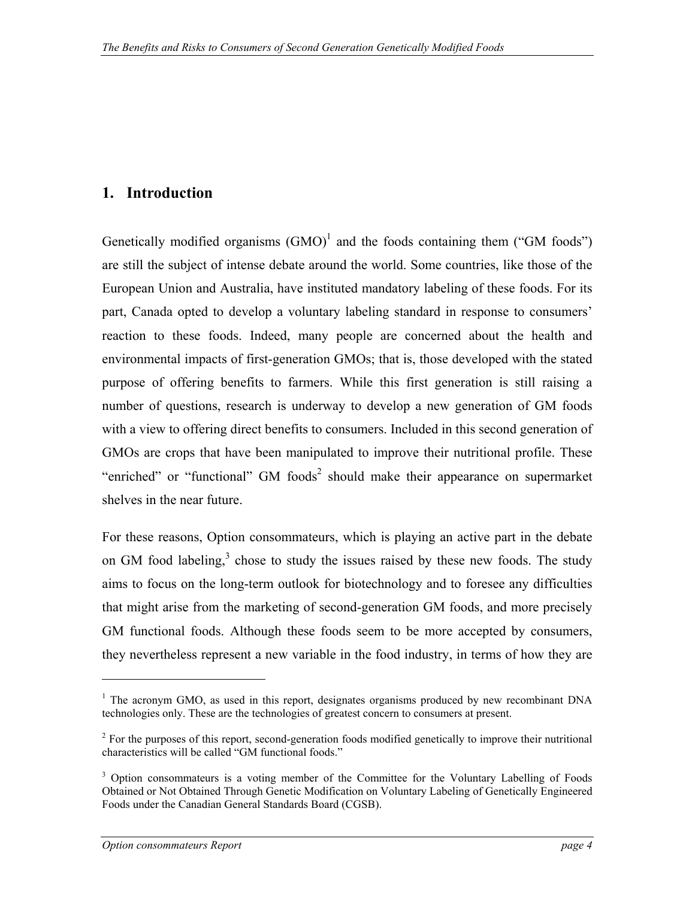### <span id="page-3-0"></span>**1. Introduction**

Genetically modified organisms  $(GMO)^1$  $(GMO)^1$  and the foods containing them ("GM foods") are still the subject of intense debate around the world. Some countries, like those of the European Union and Australia, have instituted mandatory labeling of these foods. For its part, Canada opted to develop a voluntary labeling standard in response to consumers' reaction to these foods. Indeed, many people are concerned about the health and environmental impacts of first-generation GMOs; that is, those developed with the stated purpose of offering benefits to farmers. While this first generation is still raising a number of questions, research is underway to develop a new generation of GM foods with a view to offering direct benefits to consumers. Included in this second generation of GMOs are crops that have been manipulated to improve their nutritional profile. These "enriched" or "functional"  $GM$  foods<sup>[2](#page-3-2)</sup> should make their appearance on supermarket shelves in the near future.

For these reasons, Option consommateurs, which is playing an active part in the debate on GM food labeling, $3$  chose to study the issues raised by these new foods. The study aims to focus on the long-term outlook for biotechnology and to foresee any difficulties that might arise from the marketing of second-generation GM foods, and more precisely GM functional foods. Although these foods seem to be more accepted by consumers, they nevertheless represent a new variable in the food industry, in terms of how they are

1

<span id="page-3-1"></span><sup>&</sup>lt;sup>1</sup> The acronym GMO, as used in this report, designates organisms produced by new recombinant DNA technologies only. These are the technologies of greatest concern to consumers at present.

<span id="page-3-2"></span> $2^{2}$  For the purposes of this report, second-generation foods modified genetically to improve their nutritional characteristics will be called "GM functional foods."

<span id="page-3-3"></span><sup>&</sup>lt;sup>3</sup> Option consommateurs is a voting member of the Committee for the Voluntary Labelling of Foods Obtained or Not Obtained Through Genetic Modification on Voluntary Labeling of Genetically Engineered Foods under the Canadian General Standards Board (CGSB).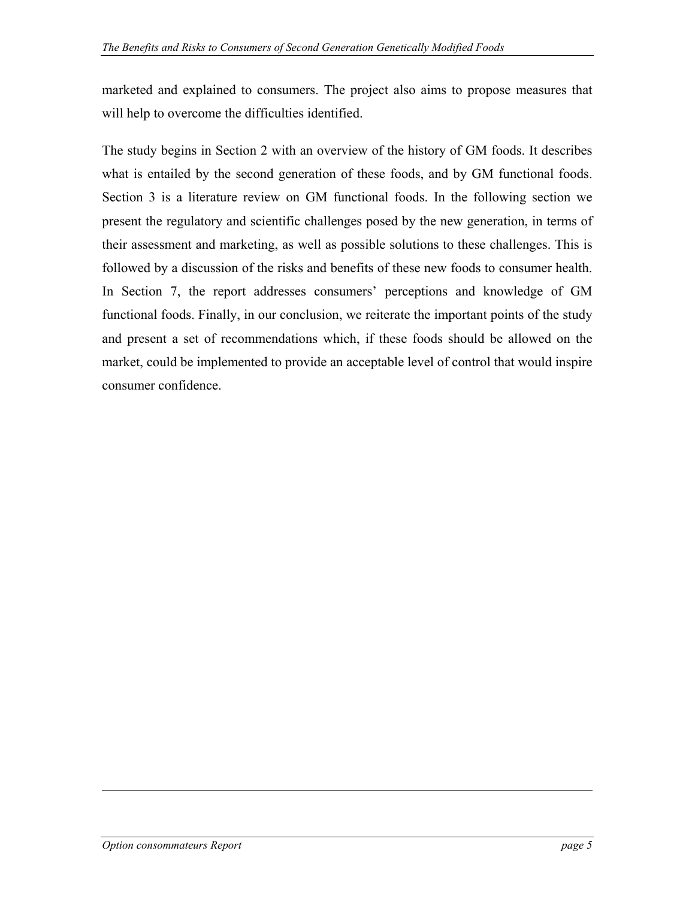marketed and explained to consumers. The project also aims to propose measures that will help to overcome the difficulties identified.

The study begins in Section 2 with an overview of the history of GM foods. It describes what is entailed by the second generation of these foods, and by GM functional foods. Section 3 is a literature review on GM functional foods. In the following section we present the regulatory and scientific challenges posed by the new generation, in terms of their assessment and marketing, as well as possible solutions to these challenges. This is followed by a discussion of the risks and benefits of these new foods to consumer health. In Section 7, the report addresses consumers' perceptions and knowledge of GM functional foods. Finally, in our conclusion, we reiterate the important points of the study and present a set of recommendations which, if these foods should be allowed on the market, could be implemented to provide an acceptable level of control that would inspire consumer confidence.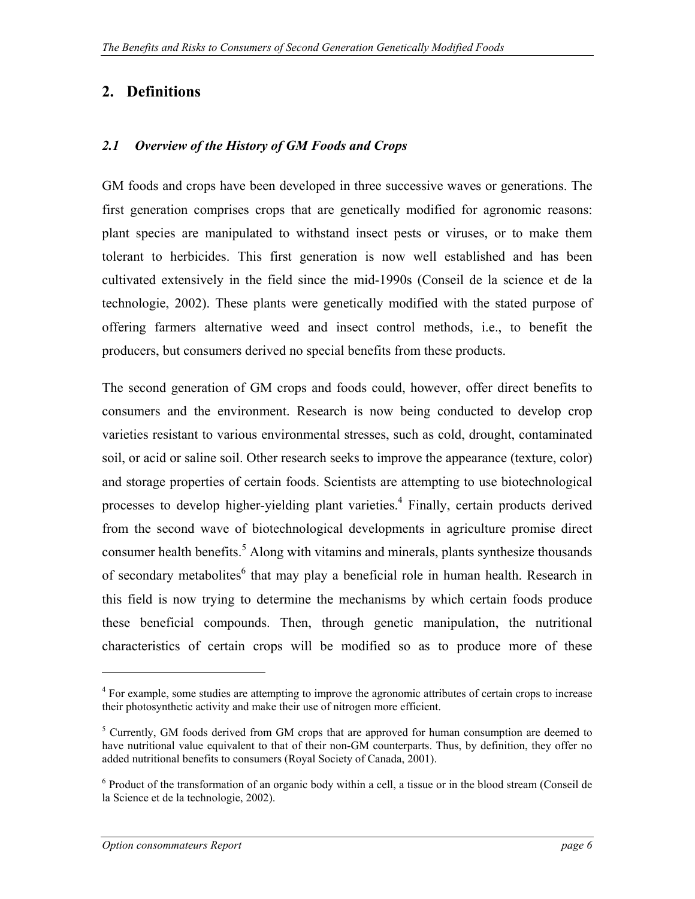### <span id="page-5-0"></span>**2. Definitions**

#### *2.1 Overview of the History of GM Foods and Crops*

GM foods and crops have been developed in three successive waves or generations. The first generation comprises crops that are genetically modified for agronomic reasons: plant species are manipulated to withstand insect pests or viruses, or to make them tolerant to herbicides. This first generation is now well established and has been cultivated extensively in the field since the mid-1990s (Conseil de la science et de la technologie, 2002). These plants were genetically modified with the stated purpose of offering farmers alternative weed and insect control methods, i.e., to benefit the producers, but consumers derived no special benefits from these products.

The second generation of GM crops and foods could, however, offer direct benefits to consumers and the environment. Research is now being conducted to develop crop varieties resistant to various environmental stresses, such as cold, drought, contaminated soil, or acid or saline soil. Other research seeks to improve the appearance (texture, color) and storage properties of certain foods. Scientists are attempting to use biotechnological processes to develop higher-yielding plant varieties.<sup>[4](#page-5-1)</sup> Finally, certain products derived from the second wave of biotechnological developments in agriculture promise direct consumer health benefits.<sup>[5](#page-5-2)</sup> Along with vitamins and minerals, plants synthesize thousands of secondary metabolites<sup>6</sup> that may play a beneficial role in human health. Research in this field is now trying to determine the mechanisms by which certain foods produce these beneficial compounds. Then, through genetic manipulation, the nutritional characteristics of certain crops will be modified so as to produce more of these

<span id="page-5-1"></span><sup>&</sup>lt;sup>4</sup> For example, some studies are attempting to improve the agronomic attributes of certain crops to increase their photosynthetic activity and make their use of nitrogen more efficient.

<span id="page-5-2"></span> $<sup>5</sup>$  Currently, GM foods derived from GM crops that are approved for human consumption are deemed to</sup> have nutritional value equivalent to that of their non-GM counterparts. Thus, by definition, they offer no added nutritional benefits to consumers (Royal Society of Canada, 2001).

<span id="page-5-3"></span><sup>&</sup>lt;sup>6</sup> Product of the transformation of an organic body within a cell, a tissue or in the blood stream (Conseil de la Science et de la technologie, 2002).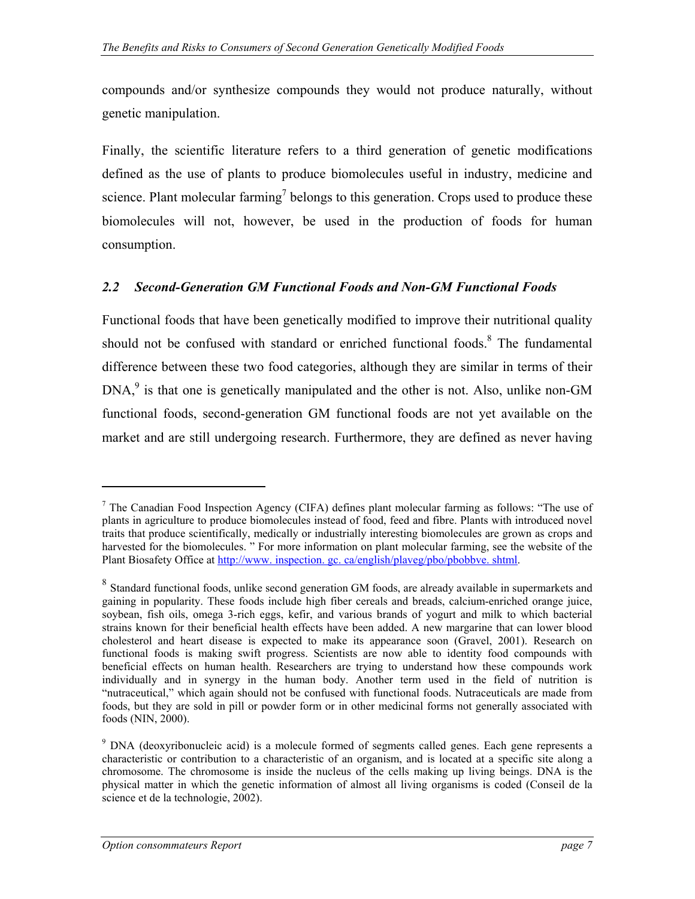<span id="page-6-0"></span>compounds and/or synthesize compounds they would not produce naturally, without genetic manipulation.

Finally, the scientific literature refers to a third generation of genetic modifications defined as the use of plants to produce biomolecules useful in industry, medicine and science. Plant molecular farming<sup>7</sup> belongs to this generation. Crops used to produce these biomolecules will not, however, be used in the production of foods for human consumption.

#### *2.2 Second-Generation GM Functional Foods and Non-GM Functional Foods*

Functional foods that have been genetically modified to improve their nutritional quality should not be confused with standard or enriched functional foods.<sup>[8](#page-6-2)</sup> The fundamental difference between these two food categories, although they are similar in terms of their  $DNA<sub>1</sub><sup>9</sup>$ is that one is genetically manipulated and the other is not. Also, unlike non-GM functional foods, second-generation GM functional foods are not yet available on the market and are still undergoing research. Furthermore, they are defined as never having

<span id="page-6-1"></span> $<sup>7</sup>$  The Canadian Food Inspection Agency (CIFA) defines plant molecular farming as follows: "The use of</sup> plants in agriculture to produce biomolecules instead of food, feed and fibre. Plants with introduced novel traits that produce scientifically, medically or industrially interesting biomolecules are grown as crops and harvested for the biomolecules. " For more information on plant molecular farming, see the website of the Plant Biosafety Office at [http://www. inspection. gc. ca/english/plaveg/pbo/pbobbve. shtml.](http://www.inspection.gc.ca/english/plaveg/pbo/pbobbve.shtml)

<span id="page-6-2"></span><sup>&</sup>lt;sup>8</sup> Standard functional foods, unlike second generation GM foods, are already available in supermarkets and gaining in popularity. These foods include high fiber cereals and breads, calcium-enriched orange juice, soybean, fish oils, omega 3-rich eggs, kefir, and various brands of yogurt and milk to which bacterial strains known for their beneficial health effects have been added. A new margarine that can lower blood cholesterol and heart disease is expected to make its appearance soon (Gravel, 2001). Research on functional foods is making swift progress. Scientists are now able to identity food compounds with beneficial effects on human health. Researchers are trying to understand how these compounds work individually and in synergy in the human body. Another term used in the field of nutrition is "nutraceutical," which again should not be confused with functional foods. Nutraceuticals are made from foods, but they are sold in pill or powder form or in other medicinal forms not generally associated with foods (NIN, 2000).

<span id="page-6-3"></span><sup>&</sup>lt;sup>9</sup> DNA (deoxyribonucleic acid) is a molecule formed of segments called genes. Each gene represents a characteristic or contribution to a characteristic of an organism, and is located at a specific site along a chromosome. The chromosome is inside the nucleus of the cells making up living beings. DNA is the physical matter in which the genetic information of almost all living organisms is coded (Conseil de la science et de la technologie, 2002).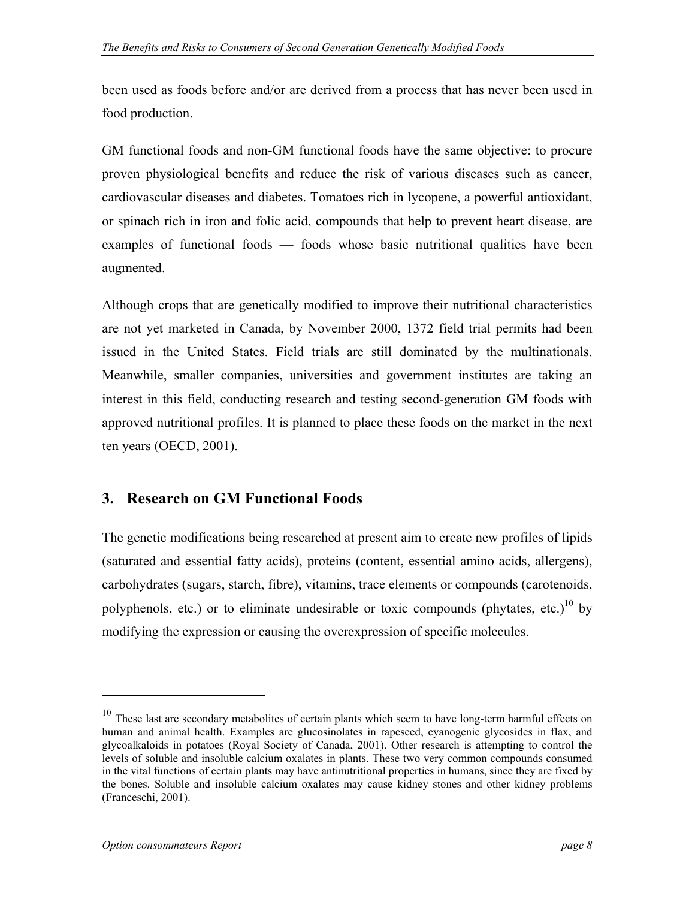<span id="page-7-0"></span>been used as foods before and/or are derived from a process that has never been used in food production.

GM functional foods and non-GM functional foods have the same objective: to procure proven physiological benefits and reduce the risk of various diseases such as cancer, cardiovascular diseases and diabetes. Tomatoes rich in lycopene, a powerful antioxidant, or spinach rich in iron and folic acid, compounds that help to prevent heart disease, are examples of functional foods — foods whose basic nutritional qualities have been augmented.

Although crops that are genetically modified to improve their nutritional characteristics are not yet marketed in Canada, by November 2000, 1372 field trial permits had been issued in the United States. Field trials are still dominated by the multinationals. Meanwhile, smaller companies, universities and government institutes are taking an interest in this field, conducting research and testing second-generation GM foods with approved nutritional profiles. It is planned to place these foods on the market in the next ten years (OECD, 2001).

### **3. Research on GM Functional Foods**

The genetic modifications being researched at present aim to create new profiles of lipids (saturated and essential fatty acids), proteins (content, essential amino acids, allergens), carbohydrates (sugars, starch, fibre), vitamins, trace elements or compounds (carotenoids, polyphenols, etc.) or to eliminate undesirable or toxic compounds (phytates, etc.)<sup>10</sup> by modifying the expression or causing the overexpression of specific molecules.

<span id="page-7-1"></span><sup>&</sup>lt;sup>10</sup> These last are secondary metabolites of certain plants which seem to have long-term harmful effects on human and animal health. Examples are glucosinolates in rapeseed, cyanogenic glycosides in flax, and glycoalkaloids in potatoes (Royal Society of Canada, 2001). Other research is attempting to control the levels of soluble and insoluble calcium oxalates in plants. These two very common compounds consumed in the vital functions of certain plants may have antinutritional properties in humans, since they are fixed by the bones. Soluble and insoluble calcium oxalates may cause kidney stones and other kidney problems (Franceschi, 2001).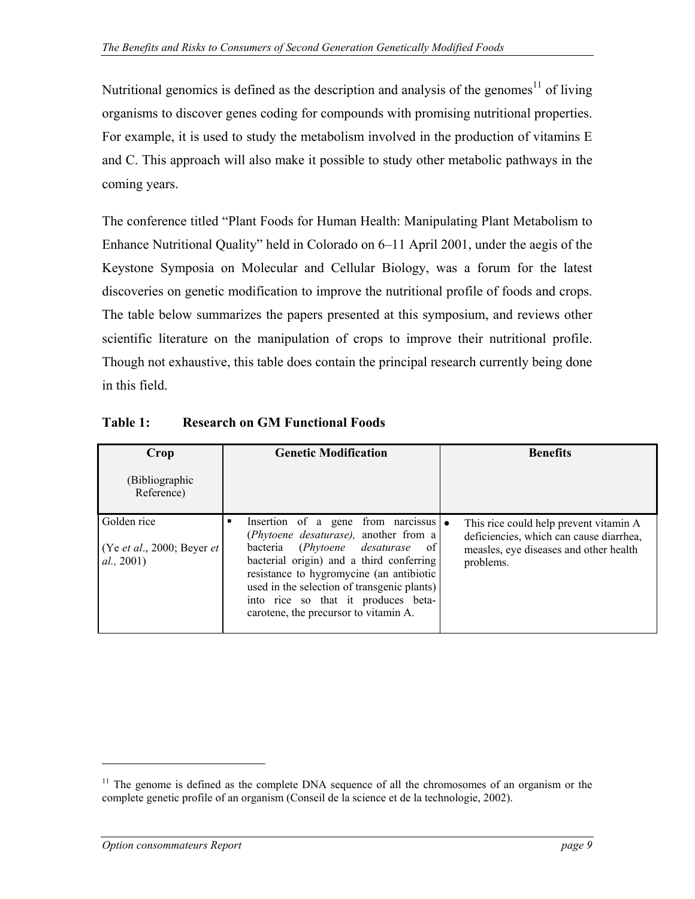Nutritional genomics is defined as the description and analysis of the genomes<sup>11</sup> of living organisms to discover genes coding for compounds with promising nutritional properties. For example, it is used to study the metabolism involved in the production of vitamins E and C. This approach will also make it possible to study other metabolic pathways in the coming years.

The conference titled "Plant Foods for Human Health: Manipulating Plant Metabolism to Enhance Nutritional Quality" held in Colorado on 6–11 April 2001, under the aegis of the Keystone Symposia on Molecular and Cellular Biology, was a forum for the latest discoveries on genetic modification to improve the nutritional profile of foods and crops. The table below summarizes the papers presented at this symposium, and reviews other scientific literature on the manipulation of crops to improve their nutritional profile. Though not exhaustive, this table does contain the principal research currently being done in this field.

| Crop                                                    | <b>Genetic Modification</b>                                                                                                                                                                                                                                                                                                                                           | <b>Benefits</b>                                                                                                                          |  |
|---------------------------------------------------------|-----------------------------------------------------------------------------------------------------------------------------------------------------------------------------------------------------------------------------------------------------------------------------------------------------------------------------------------------------------------------|------------------------------------------------------------------------------------------------------------------------------------------|--|
| (Bibliographic<br>Reference)                            |                                                                                                                                                                                                                                                                                                                                                                       |                                                                                                                                          |  |
| Golden rice<br>(Ye et al., 2000; Beyer et<br>al., 2001) | Insertion of a gene from narcissus $\bullet$<br>٠<br>(Phytoene desaturase), another from a<br>bacteria (Phytoene desaturase<br>of <sub>l</sub><br>bacterial origin) and a third conferring<br>resistance to hygromycine (an antibiotic<br>used in the selection of transgenic plants)<br>into rice so that it produces beta-<br>carotene, the precursor to vitamin A. | This rice could help prevent vitamin A<br>deficiencies, which can cause diarrhea,<br>measles, eye diseases and other health<br>problems. |  |

**Table 1: Research on GM Functional Foods** 

<span id="page-8-0"></span> $11$  The genome is defined as the complete DNA sequence of all the chromosomes of an organism or the complete genetic profile of an organism (Conseil de la science et de la technologie, 2002).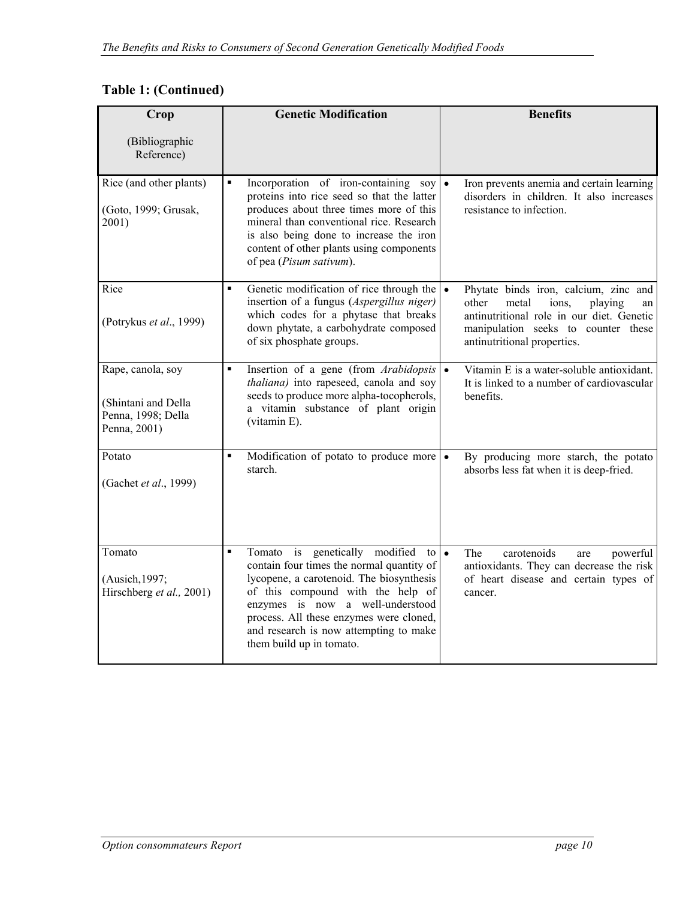### **Table 1: (Continued)**

| Crop                                                                           | <b>Genetic Modification</b>                                                                                                                                                                                                                                                                                                                 | <b>Benefits</b>                                                                                                                                                                                      |  |
|--------------------------------------------------------------------------------|---------------------------------------------------------------------------------------------------------------------------------------------------------------------------------------------------------------------------------------------------------------------------------------------------------------------------------------------|------------------------------------------------------------------------------------------------------------------------------------------------------------------------------------------------------|--|
| (Bibliographic<br>Reference)                                                   |                                                                                                                                                                                                                                                                                                                                             |                                                                                                                                                                                                      |  |
| Rice (and other plants)<br>(Goto, 1999; Grusak,<br>2001)                       | $\blacksquare$<br>Incorporation of iron-containing soy<br>proteins into rice seed so that the latter<br>produces about three times more of this<br>mineral than conventional rice. Research<br>is also being done to increase the iron<br>content of other plants using components<br>of pea (Pisum sativum).                               | $\bullet$<br>Iron prevents anemia and certain learning<br>disorders in children. It also increases<br>resistance to infection.                                                                       |  |
| Rice<br>(Potrykus et al., 1999)                                                | Genetic modification of rice through the $\cdot$<br>$\blacksquare$<br>insertion of a fungus (Aspergillus niger)<br>which codes for a phytase that breaks<br>down phytate, a carbohydrate composed<br>of six phosphate groups.                                                                                                               | Phytate binds iron, calcium, zinc and<br>other<br>metal<br>ions,<br>playing<br>an<br>antinutritional role in our diet. Genetic<br>manipulation seeks to counter these<br>antinutritional properties. |  |
| Rape, canola, soy<br>(Shintani and Della<br>Penna, 1998; Della<br>Penna, 2001) | Insertion of a gene (from Arabidopsis)<br>$\blacksquare$<br>thaliana) into rapeseed, canola and soy<br>seeds to produce more alpha-tocopherols,<br>a vitamin substance of plant origin<br>(vitamin E).                                                                                                                                      | Vitamin E is a water-soluble antioxidant.<br>$\bullet$<br>It is linked to a number of cardiovascular<br>benefits.                                                                                    |  |
| Potato<br>(Gachet et al., 1999)                                                | Modification of potato to produce more<br>$\blacksquare$<br>starch.                                                                                                                                                                                                                                                                         | By producing more starch, the potato<br>$\bullet$<br>absorbs less fat when it is deep-fried.                                                                                                         |  |
| Tomato<br>(Ausich, 1997;<br>Hirschberg et al., 2001)                           | Tomato is genetically modified<br>$\blacksquare$<br>to l<br>contain four times the normal quantity of<br>lycopene, a carotenoid. The biosynthesis<br>of this compound with the help of<br>enzymes is now a well-understood<br>process. All these enzymes were cloned,<br>and research is now attempting to make<br>them build up in tomato. | $\bullet$<br>carotenoids<br>The<br>powerful<br>are<br>antioxidants. They can decrease the risk<br>of heart disease and certain types of<br>cancer.                                                   |  |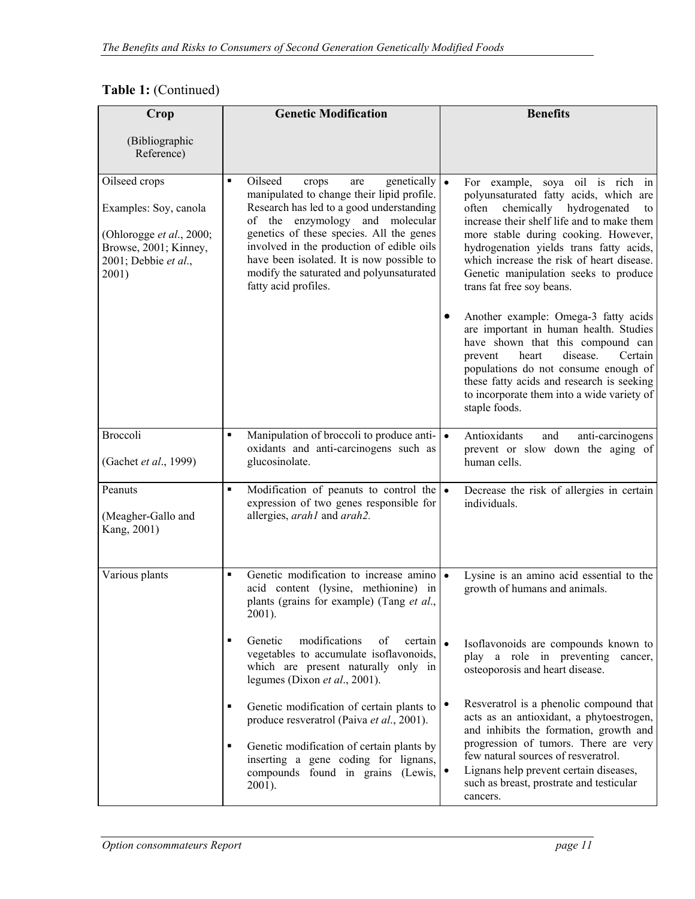### **Table 1:** (Continued)

| Crop                                                                                                                         | <b>Genetic Modification</b>                                                                                                                                                                                                                                                                                                                                                                              | <b>Benefits</b>                                                                                                                                                                                                                                                                                                                                                                                                                                                                                                                                                                                                                                                                             |
|------------------------------------------------------------------------------------------------------------------------------|----------------------------------------------------------------------------------------------------------------------------------------------------------------------------------------------------------------------------------------------------------------------------------------------------------------------------------------------------------------------------------------------------------|---------------------------------------------------------------------------------------------------------------------------------------------------------------------------------------------------------------------------------------------------------------------------------------------------------------------------------------------------------------------------------------------------------------------------------------------------------------------------------------------------------------------------------------------------------------------------------------------------------------------------------------------------------------------------------------------|
| (Bibliographic<br>Reference)                                                                                                 |                                                                                                                                                                                                                                                                                                                                                                                                          |                                                                                                                                                                                                                                                                                                                                                                                                                                                                                                                                                                                                                                                                                             |
| Oilseed crops<br>Examples: Soy, canola<br>(Ohlorogge et al., 2000;<br>Browse, 2001; Kinney,<br>2001; Debbie et al.,<br>2001) | Oilseed<br>genetically $\vert \bullet \vert$<br>٠<br>crops<br>are<br>manipulated to change their lipid profile.<br>Research has led to a good understanding<br>of the enzymology and molecular<br>genetics of these species. All the genes<br>involved in the production of edible oils<br>have been isolated. It is now possible to<br>modify the saturated and polyunsaturated<br>fatty acid profiles. | For example, soya oil is rich in<br>polyunsaturated fatty acids, which are<br>often chemically hydrogenated<br>to<br>increase their shelf life and to make them<br>more stable during cooking. However,<br>hydrogenation yields trans fatty acids,<br>which increase the risk of heart disease.<br>Genetic manipulation seeks to produce<br>trans fat free soy beans.<br>Another example: Omega-3 fatty acids<br>are important in human health. Studies<br>have shown that this compound can<br>disease.<br>Certain<br>heart<br>prevent<br>populations do not consume enough of<br>these fatty acids and research is seeking<br>to incorporate them into a wide variety of<br>staple foods. |
| Broccoli<br>(Gachet et al., 1999)                                                                                            | Manipulation of broccoli to produce anti- $\cdot$<br>oxidants and anti-carcinogens such as<br>glucosinolate.                                                                                                                                                                                                                                                                                             | Antioxidants<br>and<br>anti-carcinogens<br>prevent or slow down the aging of<br>human cells.                                                                                                                                                                                                                                                                                                                                                                                                                                                                                                                                                                                                |
| Peanuts<br>(Meagher-Gallo and<br>Kang, 2001)                                                                                 | Modification of peanuts to control the $\bullet$<br>٠<br>expression of two genes responsible for<br>allergies, arah1 and arah2.                                                                                                                                                                                                                                                                          | Decrease the risk of allergies in certain<br>individuals.                                                                                                                                                                                                                                                                                                                                                                                                                                                                                                                                                                                                                                   |
| Various plants                                                                                                               | Genetic modification to increase amino .<br>$\blacksquare$<br>acid content (lysine, methionine) in<br>plants (grains for example) (Tang et al.,<br>$2001$ ).                                                                                                                                                                                                                                             | Lysine is an amino acid essential to the<br>growth of humans and animals.                                                                                                                                                                                                                                                                                                                                                                                                                                                                                                                                                                                                                   |
|                                                                                                                              | Genetic<br>modifications<br>of<br>certain $\vert$ .<br>٠<br>vegetables to accumulate isoflavonoids,<br>which are present naturally only in<br>legumes (Dixon et al., 2001).                                                                                                                                                                                                                              | Isoflavonoids are compounds known to<br>play a role in preventing<br>cancer,<br>osteoporosis and heart disease.                                                                                                                                                                                                                                                                                                                                                                                                                                                                                                                                                                             |
|                                                                                                                              | $\blacksquare$<br>Genetic modification of certain plants to<br>produce resveratrol (Paiva et al., 2001).<br>Genetic modification of certain plants by<br>٠<br>inserting a gene coding for lignans,<br>compounds found in grains (Lewis,<br>2001).                                                                                                                                                        | Resveratrol is a phenolic compound that<br>acts as an antioxidant, a phytoestrogen,<br>and inhibits the formation, growth and<br>progression of tumors. There are very<br>few natural sources of resveratrol.<br>Lignans help prevent certain diseases,<br>such as breast, prostrate and testicular<br>cancers.                                                                                                                                                                                                                                                                                                                                                                             |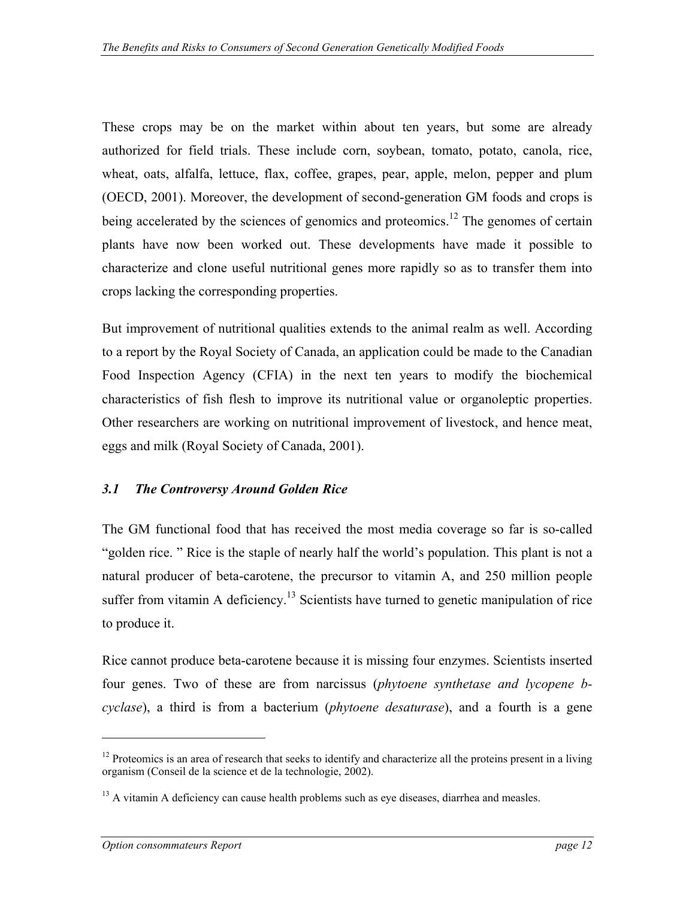<span id="page-11-0"></span>These crops may be on the market within about ten years, but some are already authorized for field trials. These include corn, soybean, tomato, potato, canola, rice, wheat, oats, alfalfa, lettuce, flax, coffee, grapes, pear, apple, melon, pepper and plum (OECD, 2001). Moreover, the development of second-generation GM foods and crops is being accelerated by the sciences of genomics and proteomics.<sup>12</sup> The genomes of certain plants have now been worked out. These developments have made it possible to characterize and clone useful nutritional genes more rapidly so as to transfer them into crops lacking the corresponding properties.

But improvement of nutritional qualities extends to the animal realm as well. According to a report by the Royal Society of Canada, an application could be made to the Canadian Food Inspection Agency (CFIA) in the next ten years to modify the biochemical characteristics of fish flesh to improve its nutritional value or organoleptic properties. Other researchers are working on nutritional improvement of livestock, and hence meat, eggs and milk (Royal Society of Canada, 2001).

#### *3.1 The Controversy Around Golden Rice*

The GM functional food that has received the most media coverage so far is so-called "golden rice. " Rice is the staple of nearly half the world's population. This plant is not a natural producer of beta-carotene, the precursor to vitamin A, and 250 million people suffer from vitamin A deficiency.<sup>13</sup> Scientists have turned to genetic manipulation of rice to produce it.

Rice cannot produce beta-carotene because it is missing four enzymes. Scientists inserted four genes. Two of these are from narcissus (*phytoene synthetase and lycopene bcyclase*), a third is from a bacterium (*phytoene desaturase*), and a fourth is a gene

<span id="page-11-1"></span> $12$  Proteomics is an area of research that seeks to identify and characterize all the proteins present in a living organism (Conseil de la science et de la technologie, 2002).

<span id="page-11-2"></span> $<sup>13</sup>$  A vitamin A deficiency can cause health problems such as eye diseases, diarrhea and measles.</sup>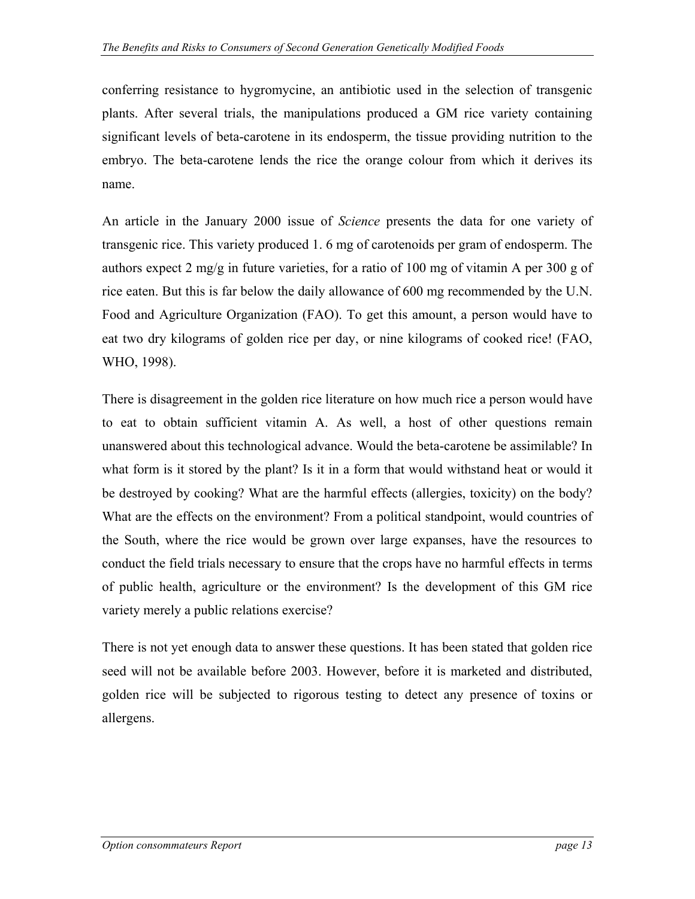conferring resistance to hygromycine, an antibiotic used in the selection of transgenic plants. After several trials, the manipulations produced a GM rice variety containing significant levels of beta-carotene in its endosperm, the tissue providing nutrition to the embryo. The beta-carotene lends the rice the orange colour from which it derives its name.

An article in the January 2000 issue of *Science* presents the data for one variety of transgenic rice. This variety produced 1. 6 mg of carotenoids per gram of endosperm. The authors expect 2 mg/g in future varieties, for a ratio of 100 mg of vitamin A per 300 g of rice eaten. But this is far below the daily allowance of 600 mg recommended by the U.N. Food and Agriculture Organization (FAO). To get this amount, a person would have to eat two dry kilograms of golden rice per day, or nine kilograms of cooked rice! (FAO, WHO, 1998).

There is disagreement in the golden rice literature on how much rice a person would have to eat to obtain sufficient vitamin A. As well, a host of other questions remain unanswered about this technological advance. Would the beta-carotene be assimilable? In what form is it stored by the plant? Is it in a form that would withstand heat or would it be destroyed by cooking? What are the harmful effects (allergies, toxicity) on the body? What are the effects on the environment? From a political standpoint, would countries of the South, where the rice would be grown over large expanses, have the resources to conduct the field trials necessary to ensure that the crops have no harmful effects in terms of public health, agriculture or the environment? Is the development of this GM rice variety merely a public relations exercise?

There is not yet enough data to answer these questions. It has been stated that golden rice seed will not be available before 2003. However, before it is marketed and distributed, golden rice will be subjected to rigorous testing to detect any presence of toxins or allergens.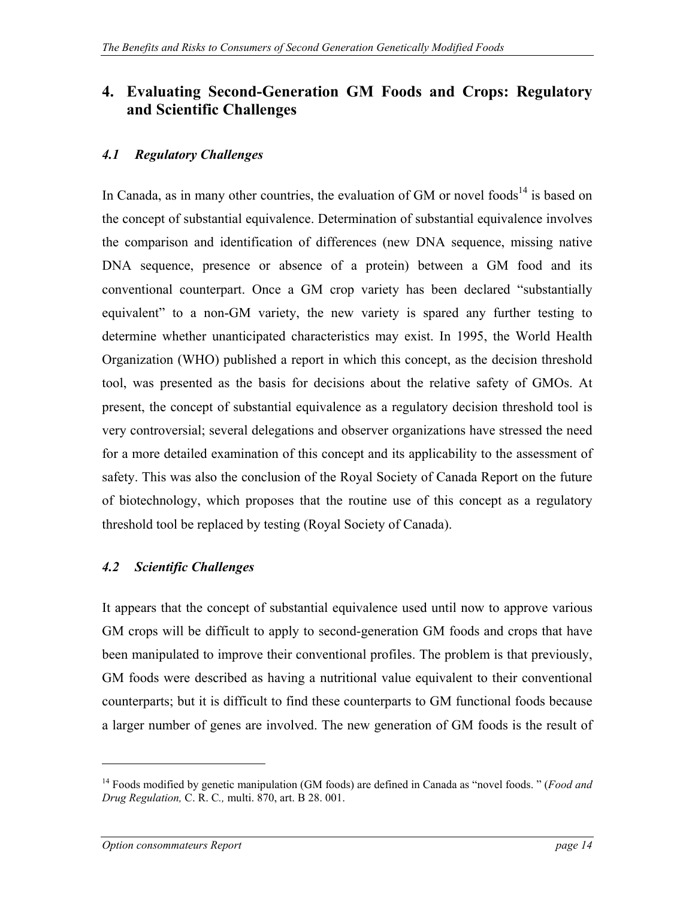### <span id="page-13-0"></span>**4. Evaluating Second-Generation GM Foods and Crops: Regulatory and Scientific Challenges**

#### *4.1 Regulatory Challenges*

In Canada, as in many other countries, the evaluation of GM or novel foods<sup>14</sup> is based on the concept of substantial equivalence. Determination of substantial equivalence involves the comparison and identification of differences (new DNA sequence, missing native DNA sequence, presence or absence of a protein) between a GM food and its conventional counterpart. Once a GM crop variety has been declared "substantially equivalent" to a non-GM variety, the new variety is spared any further testing to determine whether unanticipated characteristics may exist. In 1995, the World Health Organization (WHO) published a report in which this concept, as the decision threshold tool, was presented as the basis for decisions about the relative safety of GMOs. At present, the concept of substantial equivalence as a regulatory decision threshold tool is very controversial; several delegations and observer organizations have stressed the need for a more detailed examination of this concept and its applicability to the assessment of safety. This was also the conclusion of the Royal Society of Canada Report on the future of biotechnology, which proposes that the routine use of this concept as a regulatory threshold tool be replaced by testing (Royal Society of Canada).

#### *4.2 Scientific Challenges*

It appears that the concept of substantial equivalence used until now to approve various GM crops will be difficult to apply to second-generation GM foods and crops that have been manipulated to improve their conventional profiles. The problem is that previously, GM foods were described as having a nutritional value equivalent to their conventional counterparts; but it is difficult to find these counterparts to GM functional foods because a larger number of genes are involved. The new generation of GM foods is the result of

1

<span id="page-13-1"></span><sup>14</sup> Foods modified by genetic manipulation (GM foods) are defined in Canada as "novel foods. " (*Food and Drug Regulation,* C. R. C*.,* multi. 870, art. B 28. 001.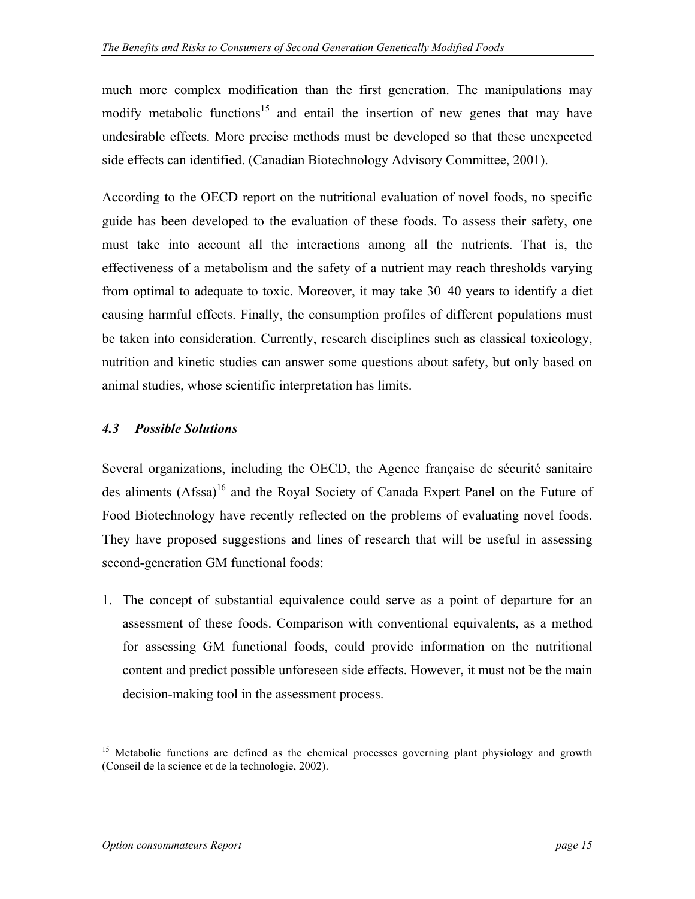<span id="page-14-0"></span>much more complex modification than the first generation. The manipulations may modify metabolic functions<sup>15</sup> and entail the insertion of new genes that may have undesirable effects. More precise methods must be developed so that these unexpected side effects can identified. (Canadian Biotechnology Advisory Committee, 2001).

According to the OECD report on the nutritional evaluation of novel foods, no specific guide has been developed to the evaluation of these foods. To assess their safety, one must take into account all the interactions among all the nutrients. That is, the effectiveness of a metabolism and the safety of a nutrient may reach thresholds varying from optimal to adequate to toxic. Moreover, it may take 30–40 years to identify a diet causing harmful effects. Finally, the consumption profiles of different populations must be taken into consideration. Currently, research disciplines such as classical toxicology, nutrition and kinetic studies can answer some questions about safety, but only based on animal studies, whose scientific interpretation has limits.

#### *4.3 Possible Solutions*

Several organizations, including the OECD, the Agence française de sécurité sanitaire des aliments (Afssa)<sup>16</sup> and the Royal Society of Canada Expert Panel on the Future of Food Biotechnology have recently reflected on the problems of evaluating novel foods. They have proposed suggestions and lines of research that will be useful in assessing second-generation GM functional foods:

1. The concept of substantial equivalence could serve as a point of departure for an assessment of these foods. Comparison with conventional equivalents, as a method for assessing GM functional foods, could provide information on the nutritional content and predict possible unforeseen side effects. However, it must not be the main decision-making tool in the assessment process.

<span id="page-14-2"></span><span id="page-14-1"></span><sup>&</sup>lt;sup>15</sup> Metabolic functions are defined as the chemical processes governing plant physiology and growth (Conseil de la science et de la technologie, 2002).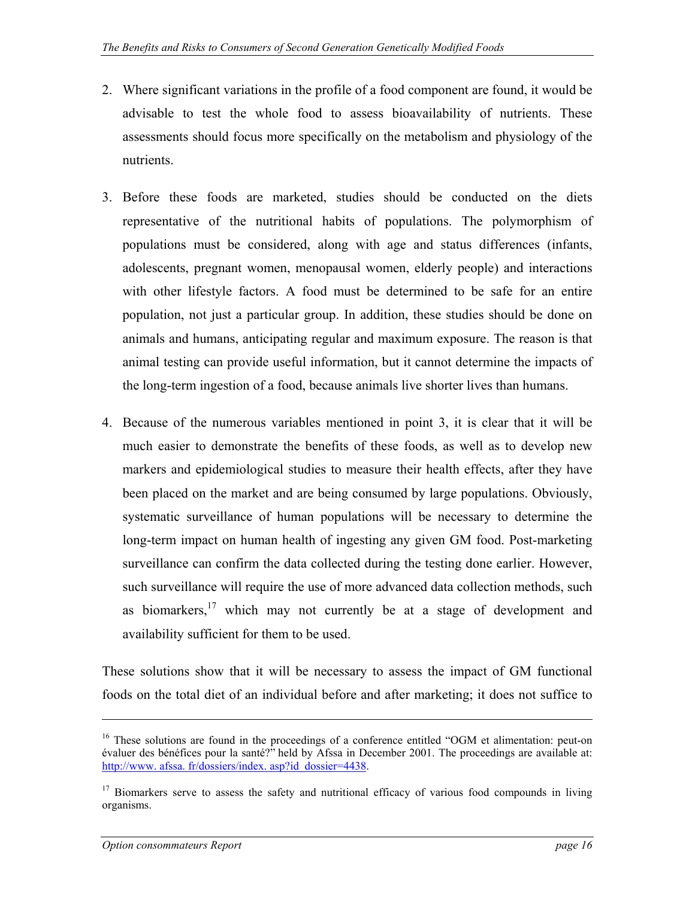- 2. Where significant variations in the profile of a food component are found, it would be advisable to test the whole food to assess bioavailability of nutrients. These assessments should focus more specifically on the metabolism and physiology of the nutrients.
- 3. Before these foods are marketed, studies should be conducted on the diets representative of the nutritional habits of populations. The polymorphism of populations must be considered, along with age and status differences (infants, adolescents, pregnant women, menopausal women, elderly people) and interactions with other lifestyle factors. A food must be determined to be safe for an entire population, not just a particular group. In addition, these studies should be done on animals and humans, anticipating regular and maximum exposure. The reason is that animal testing can provide useful information, but it cannot determine the impacts of the long-term ingestion of a food, because animals live shorter lives than humans.
- 4. Because of the numerous variables mentioned in point 3, it is clear that it will be much easier to demonstrate the benefits of these foods, as well as to develop new markers and epidemiological studies to measure their health effects, after they have been placed on the market and are being consumed by large populations. Obviously, systematic surveillance of human populations will be necessary to determine the long-term impact on human health of ingesting any given GM food. Post-marketing surveillance can confirm the data collected during the testing done earlier. However, such surveillance will require the use of more advanced data collection methods, such as biomarkers, $17$  which may not currently be at a stage of development and availability sufficient for them to be used.

These solutions show that it will be necessary to assess the impact of GM functional foods on the total diet of an individual before and after marketing; it does not suffice to

<sup>&</sup>lt;sup>16</sup> These solutions are found in the proceedings of a conference entitled "OGM et alimentation: peut-on évaluer des bénéfices pour la santé?" held by Afssa in December 2001. The proceedings are available at: [http://www. afssa. fr/dossiers/index. asp?id\\_dossier=4438.](http://www.afssa.fr/dossiers/index.asp?id_dossier=4438)

<span id="page-15-0"></span><sup>&</sup>lt;sup>17</sup> Biomarkers serve to assess the safety and nutritional efficacy of various food compounds in living organisms.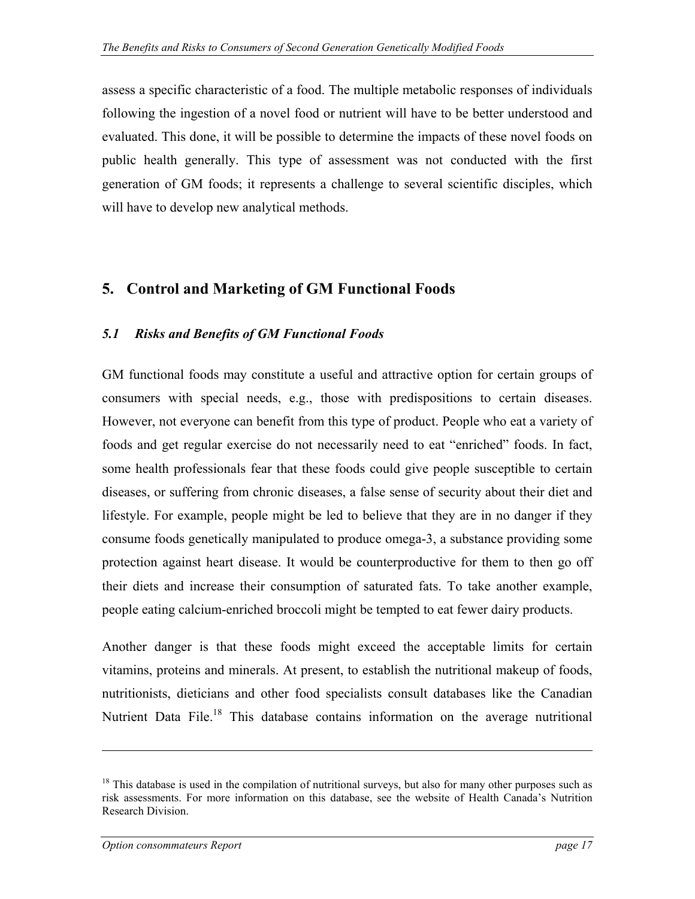<span id="page-16-0"></span>assess a specific characteristic of a food. The multiple metabolic responses of individuals following the ingestion of a novel food or nutrient will have to be better understood and evaluated. This done, it will be possible to determine the impacts of these novel foods on public health generally. This type of assessment was not conducted with the first generation of GM foods; it represents a challenge to several scientific disciples, which will have to develop new analytical methods.

### **5. Control and Marketing of GM Functional Foods**

#### *5.1 Risks and Benefits of GM Functional Foods*

GM functional foods may constitute a useful and attractive option for certain groups of consumers with special needs, e.g., those with predispositions to certain diseases. However, not everyone can benefit from this type of product. People who eat a variety of foods and get regular exercise do not necessarily need to eat "enriched" foods. In fact, some health professionals fear that these foods could give people susceptible to certain diseases, or suffering from chronic diseases, a false sense of security about their diet and lifestyle. For example, people might be led to believe that they are in no danger if they consume foods genetically manipulated to produce omega-3, a substance providing some protection against heart disease. It would be counterproductive for them to then go off their diets and increase their consumption of saturated fats. To take another example, people eating calcium-enriched broccoli might be tempted to eat fewer dairy products.

Another danger is that these foods might exceed the acceptable limits for certain vitamins, proteins and minerals. At present, to establish the nutritional makeup of foods, nutritionists, dieticians and other food specialists consult databases like the Canadian Nutrient Data File.<sup>18</sup> This database contains information on the average nutritional

<span id="page-16-1"></span><sup>&</sup>lt;sup>18</sup> This database is used in the compilation of nutritional surveys, but also for many other purposes such as risk assessments. For more information on this database, see the website of Health Canada's Nutrition Research Division.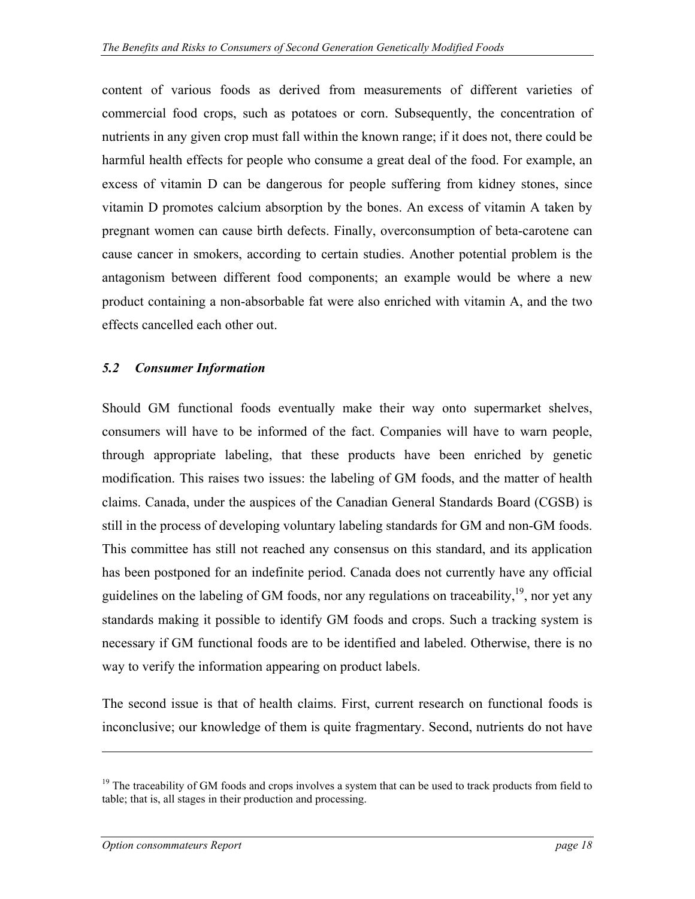<span id="page-17-0"></span>content of various foods as derived from measurements of different varieties of commercial food crops, such as potatoes or corn. Subsequently, the concentration of nutrients in any given crop must fall within the known range; if it does not, there could be harmful health effects for people who consume a great deal of the food. For example, an excess of vitamin D can be dangerous for people suffering from kidney stones, since vitamin D promotes calcium absorption by the bones. An excess of vitamin A taken by pregnant women can cause birth defects. Finally, overconsumption of beta-carotene can cause cancer in smokers, according to certain studies. Another potential problem is the antagonism between different food components; an example would be where a new product containing a non-absorbable fat were also enriched with vitamin A, and the two effects cancelled each other out.

#### *5.2 Consumer Information*

Should GM functional foods eventually make their way onto supermarket shelves, consumers will have to be informed of the fact. Companies will have to warn people, through appropriate labeling, that these products have been enriched by genetic modification. This raises two issues: the labeling of GM foods, and the matter of health claims. Canada, under the auspices of the Canadian General Standards Board (CGSB) is still in the process of developing voluntary labeling standards for GM and non-GM foods. This committee has still not reached any consensus on this standard, and its application has been postponed for an indefinite period. Canada does not currently have any official guidelines on the labeling of GM foods, nor any regulations on traceability,  $19$ , nor yet any standards making it possible to identify GM foods and crops. Such a tracking system is necessary if GM functional foods are to be identified and labeled. Otherwise, there is no way to verify the information appearing on product labels.

The second issue is that of health claims. First, current research on functional foods is inconclusive; our knowledge of them is quite fragmentary. Second, nutrients do not have

<span id="page-17-1"></span> $19$  The traceability of GM foods and crops involves a system that can be used to track products from field to table; that is, all stages in their production and processing.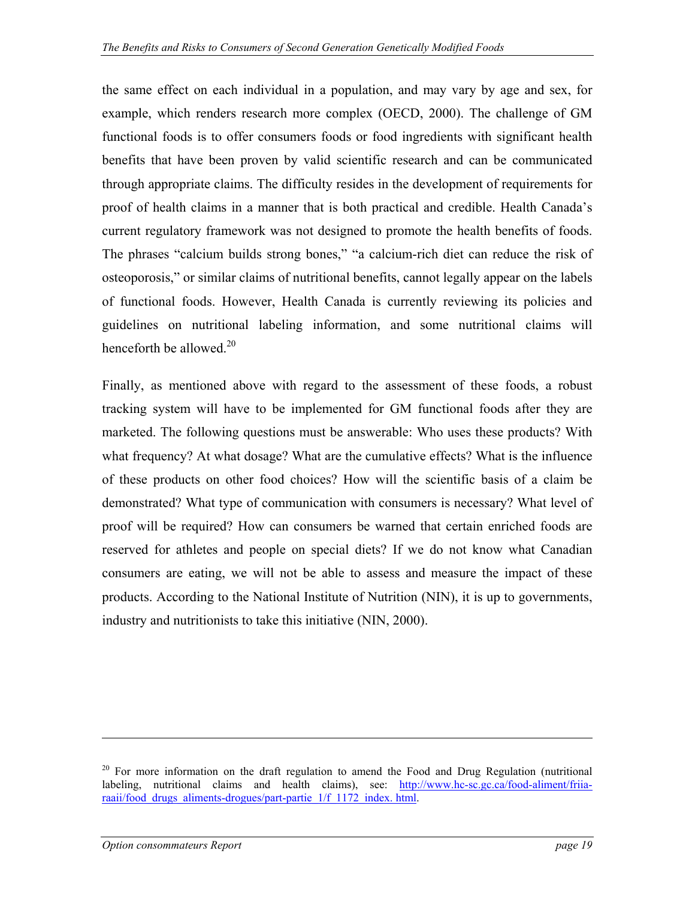the same effect on each individual in a population, and may vary by age and sex, for example, which renders research more complex (OECD, 2000). The challenge of GM functional foods is to offer consumers foods or food ingredients with significant health benefits that have been proven by valid scientific research and can be communicated through appropriate claims. The difficulty resides in the development of requirements for proof of health claims in a manner that is both practical and credible. Health Canada's current regulatory framework was not designed to promote the health benefits of foods. The phrases "calcium builds strong bones," "a calcium-rich diet can reduce the risk of osteoporosis," or similar claims of nutritional benefits, cannot legally appear on the labels of functional foods. However, Health Canada is currently reviewing its policies and guidelines on nutritional labeling information, and some nutritional claims will henceforth be allowed.<sup>[20](#page-18-0)</sup>

Finally, as mentioned above with regard to the assessment of these foods, a robust tracking system will have to be implemented for GM functional foods after they are marketed. The following questions must be answerable: Who uses these products? With what frequency? At what dosage? What are the cumulative effects? What is the influence of these products on other food choices? How will the scientific basis of a claim be demonstrated? What type of communication with consumers is necessary? What level of proof will be required? How can consumers be warned that certain enriched foods are reserved for athletes and people on special diets? If we do not know what Canadian consumers are eating, we will not be able to assess and measure the impact of these products. According to the National Institute of Nutrition (NIN), it is up to governments, industry and nutritionists to take this initiative (NIN, 2000).

<span id="page-18-0"></span> $20$  For more information on the draft regulation to amend the Food and Drug Regulation (nutritional labeling, nutritional claims and health claims), see: [http://www.hc-sc.gc.ca/food-aliment/friia](http://www.hc-sc.gc.ca/food-aliment/friia-raaii/food_drugs_aliments-drogues/part-partie_1/f_1172_index.html)raaii/food drugs aliments-drogues/part-partie 1/f 1172 index. html.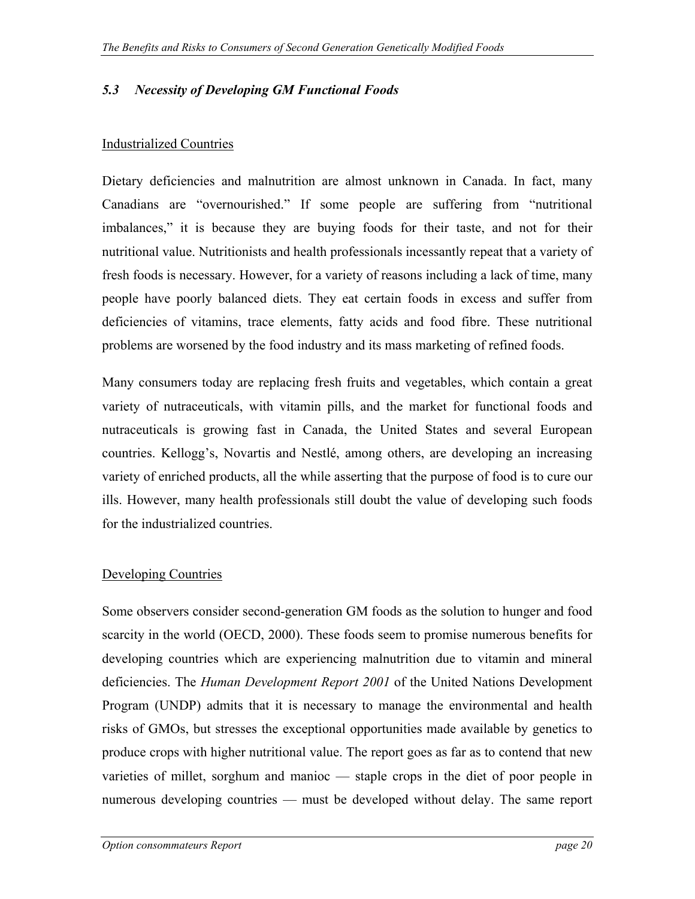#### <span id="page-19-0"></span>*5.3 Necessity of Developing GM Functional Foods*

#### Industrialized Countries

Dietary deficiencies and malnutrition are almost unknown in Canada. In fact, many Canadians are "overnourished." If some people are suffering from "nutritional imbalances," it is because they are buying foods for their taste, and not for their nutritional value. Nutritionists and health professionals incessantly repeat that a variety of fresh foods is necessary. However, for a variety of reasons including a lack of time, many people have poorly balanced diets. They eat certain foods in excess and suffer from deficiencies of vitamins, trace elements, fatty acids and food fibre. These nutritional problems are worsened by the food industry and its mass marketing of refined foods.

Many consumers today are replacing fresh fruits and vegetables, which contain a great variety of nutraceuticals, with vitamin pills, and the market for functional foods and nutraceuticals is growing fast in Canada, the United States and several European countries. Kellogg's, Novartis and Nestlé, among others, are developing an increasing variety of enriched products, all the while asserting that the purpose of food is to cure our ills. However, many health professionals still doubt the value of developing such foods for the industrialized countries.

#### Developing Countries

Some observers consider second-generation GM foods as the solution to hunger and food scarcity in the world (OECD, 2000). These foods seem to promise numerous benefits for developing countries which are experiencing malnutrition due to vitamin and mineral deficiencies. The *Human Development Report 2001* of the United Nations Development Program (UNDP) admits that it is necessary to manage the environmental and health risks of GMOs, but stresses the exceptional opportunities made available by genetics to produce crops with higher nutritional value. The report goes as far as to contend that new varieties of millet, sorghum and manioc — staple crops in the diet of poor people in numerous developing countries — must be developed without delay. The same report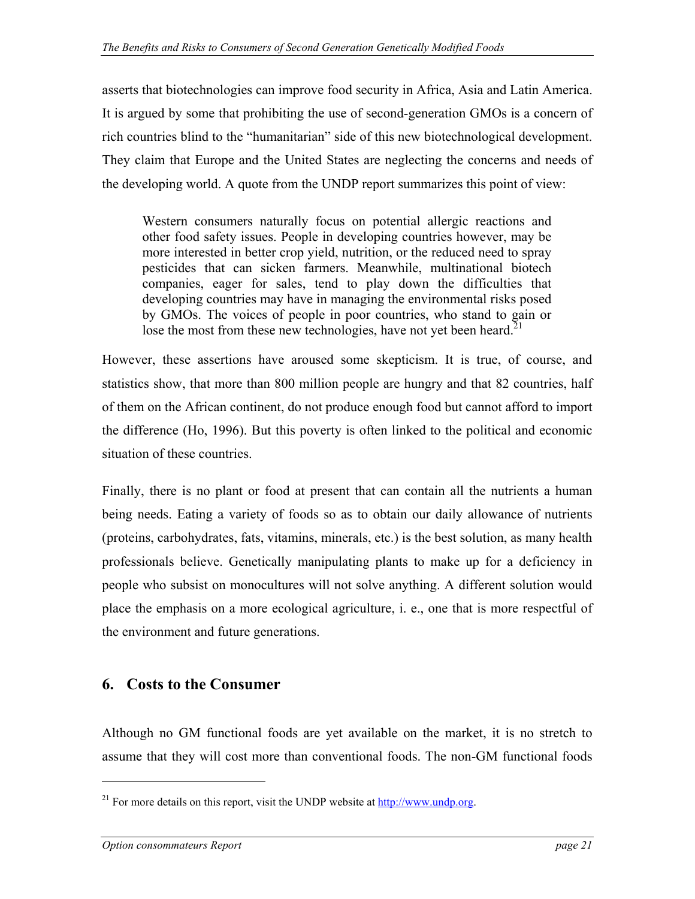<span id="page-20-0"></span>asserts that biotechnologies can improve food security in Africa, Asia and Latin America. It is argued by some that prohibiting the use of second-generation GMOs is a concern of rich countries blind to the "humanitarian" side of this new biotechnological development. They claim that Europe and the United States are neglecting the concerns and needs of the developing world. A quote from the UNDP report summarizes this point of view:

Western consumers naturally focus on potential allergic reactions and other food safety issues. People in developing countries however, may be more interested in better crop yield, nutrition, or the reduced need to spray pesticides that can sicken farmers. Meanwhile, multinational biotech companies, eager for sales, tend to play down the difficulties that developing countries may have in managing the environmental risks posed by GMOs. The voices of people in poor countries, who stand to gain or lose the most from these new technologies, have not yet been heard.<sup>21</sup>

However, these assertions have aroused some skepticism. It is true, of course, and statistics show, that more than 800 million people are hungry and that 82 countries, half of them on the African continent, do not produce enough food but cannot afford to import the difference (Ho, 1996). But this poverty is often linked to the political and economic situation of these countries.

Finally, there is no plant or food at present that can contain all the nutrients a human being needs. Eating a variety of foods so as to obtain our daily allowance of nutrients (proteins, carbohydrates, fats, vitamins, minerals, etc.) is the best solution, as many health professionals believe. Genetically manipulating plants to make up for a deficiency in people who subsist on monocultures will not solve anything. A different solution would place the emphasis on a more ecological agriculture, i. e., one that is more respectful of the environment and future generations.

### **6. Costs to the Consumer**

Although no GM functional foods are yet available on the market, it is no stretch to assume that they will cost more than conventional foods. The non-GM functional foods

<span id="page-20-1"></span><sup>&</sup>lt;sup>21</sup> For more details on this report, visit the UNDP website at [http://www.undp.org](http://www.undp.org/).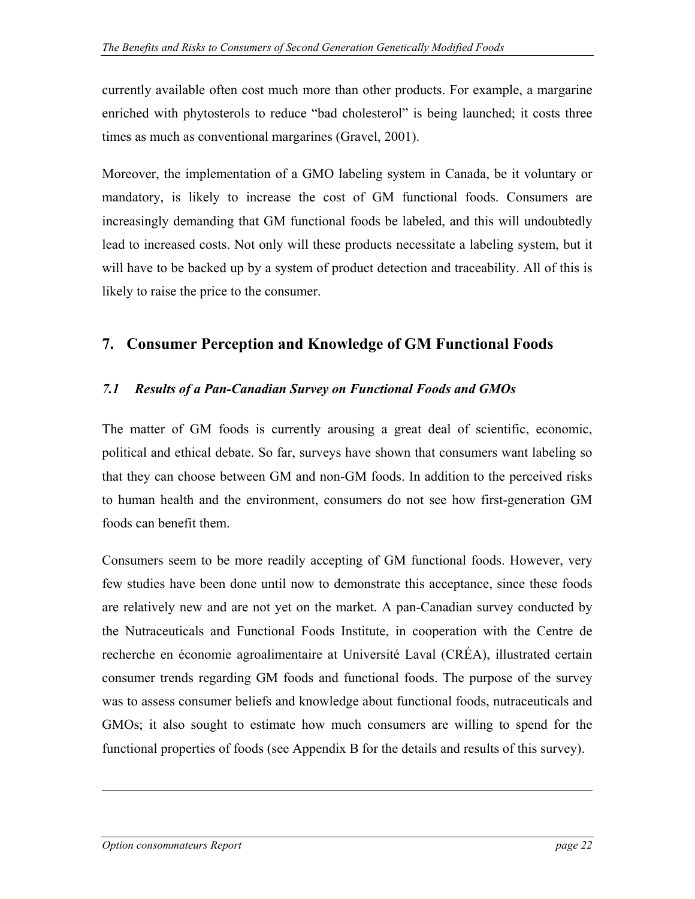<span id="page-21-0"></span>currently available often cost much more than other products. For example, a margarine enriched with phytosterols to reduce "bad cholesterol" is being launched; it costs three times as much as conventional margarines (Gravel, 2001).

Moreover, the implementation of a GMO labeling system in Canada, be it voluntary or mandatory, is likely to increase the cost of GM functional foods. Consumers are increasingly demanding that GM functional foods be labeled, and this will undoubtedly lead to increased costs. Not only will these products necessitate a labeling system, but it will have to be backed up by a system of product detection and traceability. All of this is likely to raise the price to the consumer.

### **7. Consumer Perception and Knowledge of GM Functional Foods**

#### *7.1 Results of a Pan-Canadian Survey on Functional Foods and GMOs*

The matter of GM foods is currently arousing a great deal of scientific, economic, political and ethical debate. So far, surveys have shown that consumers want labeling so that they can choose between GM and non-GM foods. In addition to the perceived risks to human health and the environment, consumers do not see how first-generation GM foods can benefit them.

Consumers seem to be more readily accepting of GM functional foods. However, very few studies have been done until now to demonstrate this acceptance, since these foods are relatively new and are not yet on the market. A pan-Canadian survey conducted by the Nutraceuticals and Functional Foods Institute, in cooperation with the Centre de recherche en économie agroalimentaire at Université Laval (CRÉA), illustrated certain consumer trends regarding GM foods and functional foods. The purpose of the survey was to assess consumer beliefs and knowledge about functional foods, nutraceuticals and GMOs; it also sought to estimate how much consumers are willing to spend for the functional properties of foods (see Appendix B for the details and results of this survey).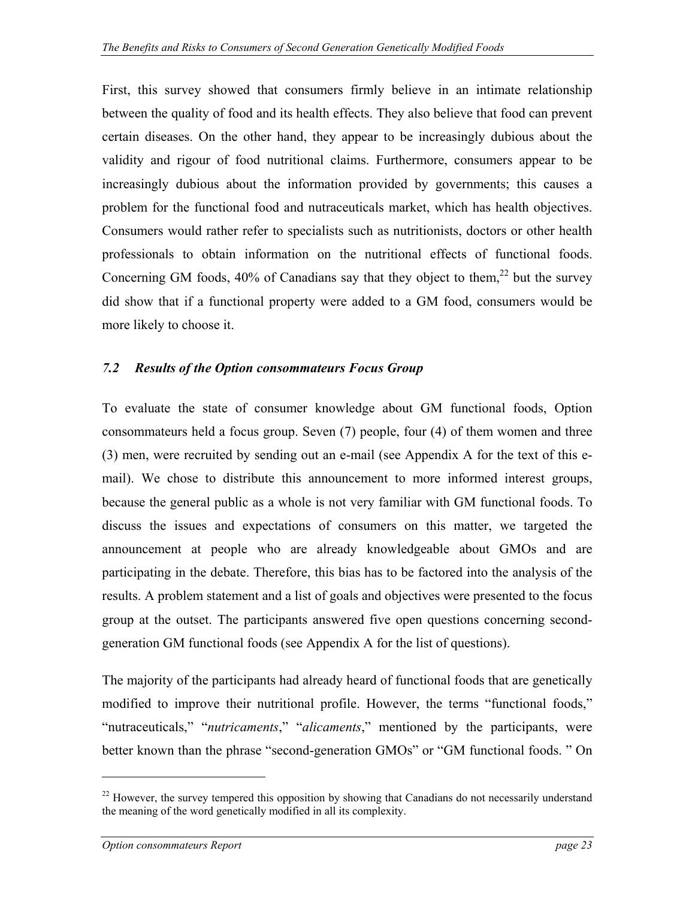<span id="page-22-0"></span>First, this survey showed that consumers firmly believe in an intimate relationship between the quality of food and its health effects. They also believe that food can prevent certain diseases. On the other hand, they appear to be increasingly dubious about the validity and rigour of food nutritional claims. Furthermore, consumers appear to be increasingly dubious about the information provided by governments; this causes a problem for the functional food and nutraceuticals market, which has health objectives. Consumers would rather refer to specialists such as nutritionists, doctors or other health professionals to obtain information on the nutritional effects of functional foods. Concerning GM foods,  $40\%$  of Canadians say that they object to them,  $22$  but the survey did show that if a functional property were added to a GM food, consumers would be more likely to choose it.

#### *7.2 Results of the Option consommateurs Focus Group*

To evaluate the state of consumer knowledge about GM functional foods, Option consommateurs held a focus group. Seven (7) people, four (4) of them women and three (3) men, were recruited by sending out an e-mail (see Appendix A for the text of this email). We chose to distribute this announcement to more informed interest groups, because the general public as a whole is not very familiar with GM functional foods. To discuss the issues and expectations of consumers on this matter, we targeted the announcement at people who are already knowledgeable about GMOs and are participating in the debate. Therefore, this bias has to be factored into the analysis of the results. A problem statement and a list of goals and objectives were presented to the focus group at the outset. The participants answered five open questions concerning secondgeneration GM functional foods (see Appendix A for the list of questions).

The majority of the participants had already heard of functional foods that are genetically modified to improve their nutritional profile. However, the terms "functional foods," "nutraceuticals," "*nutricaments*," "*alicaments*," mentioned by the participants, were better known than the phrase "second-generation GMOs" or "GM functional foods. " On

<u>.</u>

<span id="page-22-1"></span> $22$  However, the survey tempered this opposition by showing that Canadians do not necessarily understand the meaning of the word genetically modified in all its complexity.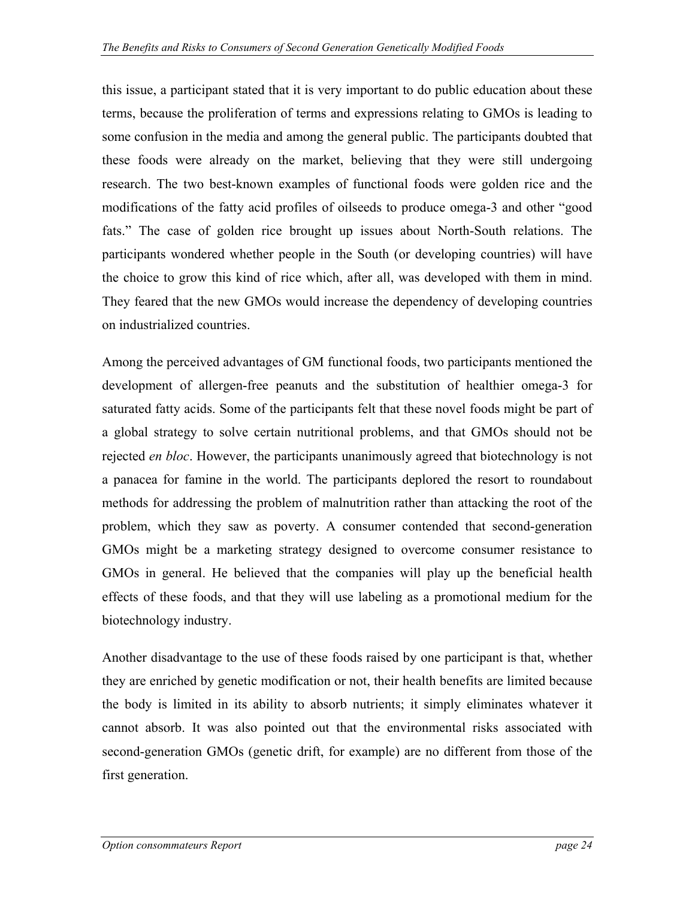this issue, a participant stated that it is very important to do public education about these terms, because the proliferation of terms and expressions relating to GMOs is leading to some confusion in the media and among the general public. The participants doubted that these foods were already on the market, believing that they were still undergoing research. The two best-known examples of functional foods were golden rice and the modifications of the fatty acid profiles of oilseeds to produce omega-3 and other "good fats." The case of golden rice brought up issues about North-South relations. The participants wondered whether people in the South (or developing countries) will have the choice to grow this kind of rice which, after all, was developed with them in mind. They feared that the new GMOs would increase the dependency of developing countries on industrialized countries.

Among the perceived advantages of GM functional foods, two participants mentioned the development of allergen-free peanuts and the substitution of healthier omega-3 for saturated fatty acids. Some of the participants felt that these novel foods might be part of a global strategy to solve certain nutritional problems, and that GMOs should not be rejected *en bloc*. However, the participants unanimously agreed that biotechnology is not a panacea for famine in the world. The participants deplored the resort to roundabout methods for addressing the problem of malnutrition rather than attacking the root of the problem, which they saw as poverty. A consumer contended that second-generation GMOs might be a marketing strategy designed to overcome consumer resistance to GMOs in general. He believed that the companies will play up the beneficial health effects of these foods, and that they will use labeling as a promotional medium for the biotechnology industry.

Another disadvantage to the use of these foods raised by one participant is that, whether they are enriched by genetic modification or not, their health benefits are limited because the body is limited in its ability to absorb nutrients; it simply eliminates whatever it cannot absorb. It was also pointed out that the environmental risks associated with second-generation GMOs (genetic drift, for example) are no different from those of the first generation.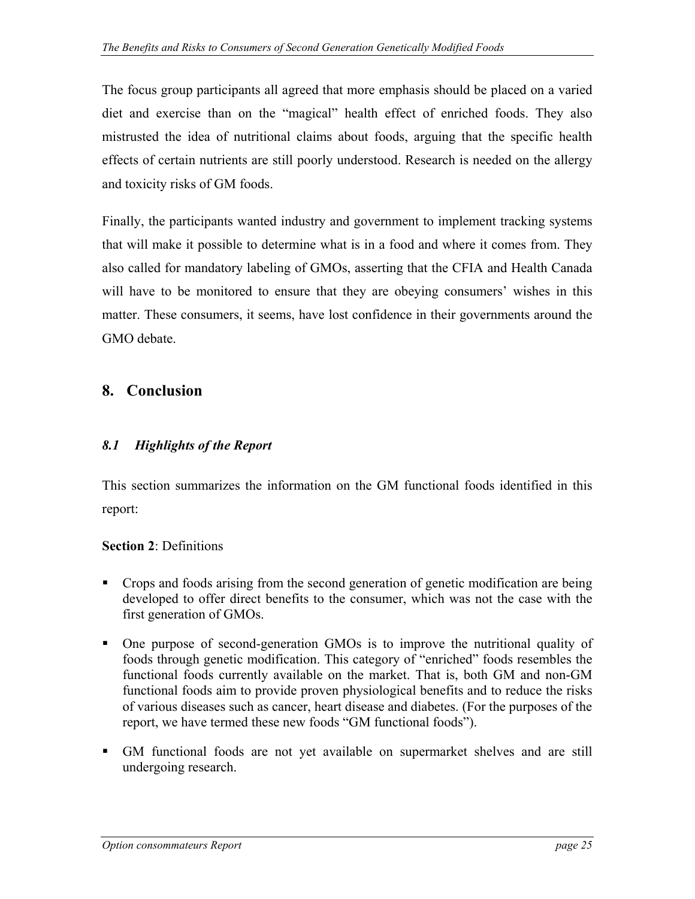<span id="page-24-0"></span>The focus group participants all agreed that more emphasis should be placed on a varied diet and exercise than on the "magical" health effect of enriched foods. They also mistrusted the idea of nutritional claims about foods, arguing that the specific health effects of certain nutrients are still poorly understood. Research is needed on the allergy and toxicity risks of GM foods.

Finally, the participants wanted industry and government to implement tracking systems that will make it possible to determine what is in a food and where it comes from. They also called for mandatory labeling of GMOs, asserting that the CFIA and Health Canada will have to be monitored to ensure that they are obeying consumers' wishes in this matter. These consumers, it seems, have lost confidence in their governments around the GMO debate.

### **8. Conclusion**

#### *8.1 Highlights of the Report*

This section summarizes the information on the GM functional foods identified in this report:

#### **Section 2**: Definitions

- Crops and foods arising from the second generation of genetic modification are being developed to offer direct benefits to the consumer, which was not the case with the first generation of GMOs.
- One purpose of second-generation GMOs is to improve the nutritional quality of foods through genetic modification. This category of "enriched" foods resembles the functional foods currently available on the market. That is, both GM and non-GM functional foods aim to provide proven physiological benefits and to reduce the risks of various diseases such as cancer, heart disease and diabetes. (For the purposes of the report, we have termed these new foods "GM functional foods").
- GM functional foods are not yet available on supermarket shelves and are still undergoing research.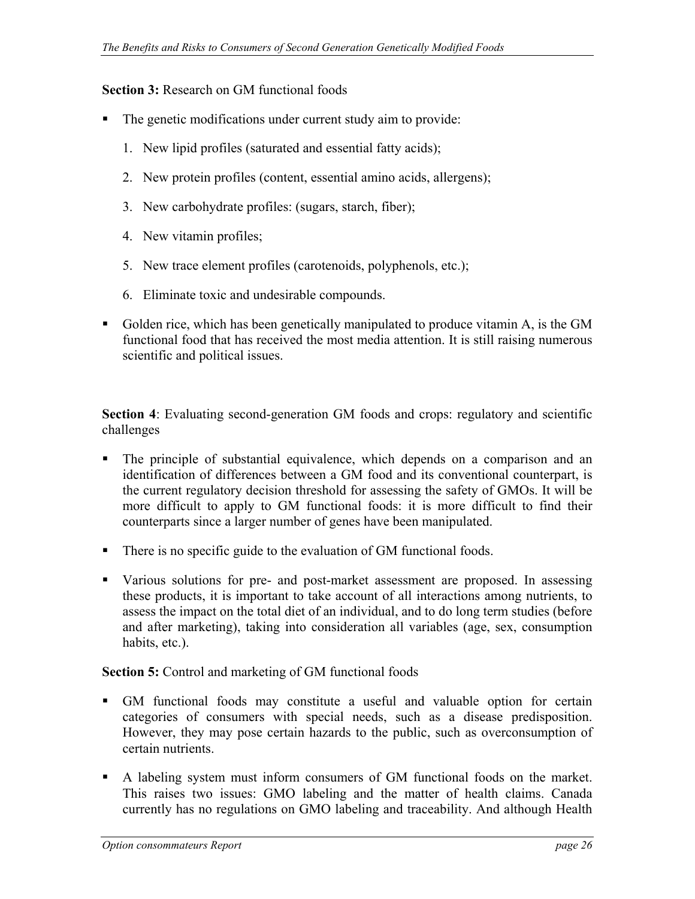#### **Section 3:** Research on GM functional foods

- The genetic modifications under current study aim to provide:
	- 1. New lipid profiles (saturated and essential fatty acids);
	- 2. New protein profiles (content, essential amino acids, allergens);
	- 3. New carbohydrate profiles: (sugars, starch, fiber);
	- 4. New vitamin profiles;
	- 5. New trace element profiles (carotenoids, polyphenols, etc.);
	- 6. Eliminate toxic and undesirable compounds.
- Golden rice, which has been genetically manipulated to produce vitamin A, is the GM functional food that has received the most media attention. It is still raising numerous scientific and political issues.

**Section 4**: Evaluating second-generation GM foods and crops: regulatory and scientific challenges

- The principle of substantial equivalence, which depends on a comparison and an identification of differences between a GM food and its conventional counterpart, is the current regulatory decision threshold for assessing the safety of GMOs. It will be more difficult to apply to GM functional foods: it is more difficult to find their counterparts since a larger number of genes have been manipulated.
- There is no specific guide to the evaluation of GM functional foods.
- Various solutions for pre- and post-market assessment are proposed. In assessing these products, it is important to take account of all interactions among nutrients, to assess the impact on the total diet of an individual, and to do long term studies (before and after marketing), taking into consideration all variables (age, sex, consumption habits, etc.).

#### **Section 5:** Control and marketing of GM functional foods

- GM functional foods may constitute a useful and valuable option for certain categories of consumers with special needs, such as a disease predisposition. However, they may pose certain hazards to the public, such as overconsumption of certain nutrients.
- A labeling system must inform consumers of GM functional foods on the market. This raises two issues: GMO labeling and the matter of health claims. Canada currently has no regulations on GMO labeling and traceability. And although Health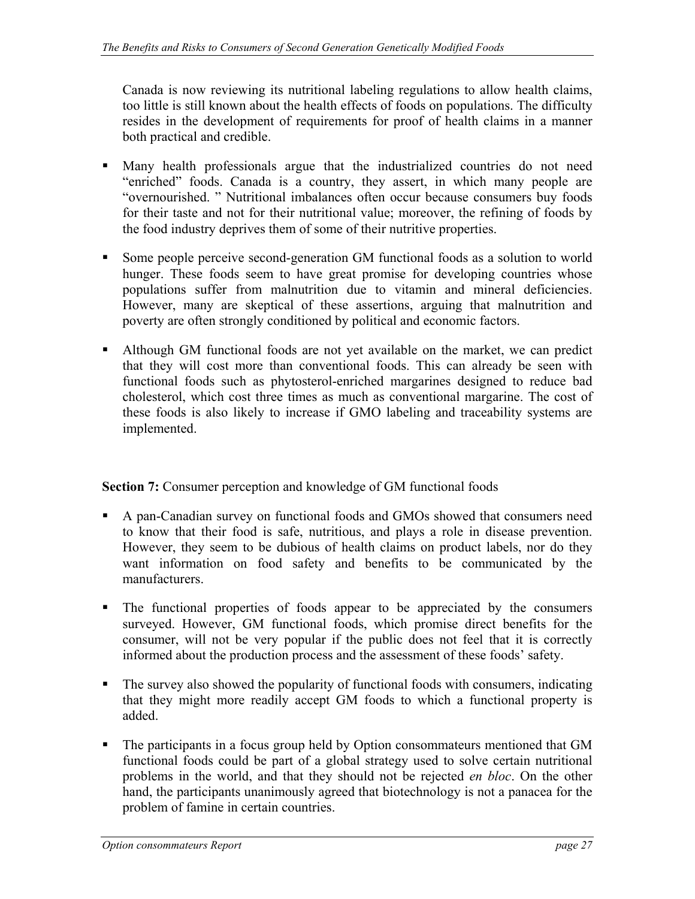Canada is now reviewing its nutritional labeling regulations to allow health claims, too little is still known about the health effects of foods on populations. The difficulty resides in the development of requirements for proof of health claims in a manner both practical and credible.

- Many health professionals argue that the industrialized countries do not need "enriched" foods. Canada is a country, they assert, in which many people are "overnourished. " Nutritional imbalances often occur because consumers buy foods for their taste and not for their nutritional value; moreover, the refining of foods by the food industry deprives them of some of their nutritive properties.
- Some people perceive second-generation GM functional foods as a solution to world hunger. These foods seem to have great promise for developing countries whose populations suffer from malnutrition due to vitamin and mineral deficiencies. However, many are skeptical of these assertions, arguing that malnutrition and poverty are often strongly conditioned by political and economic factors.
- Although GM functional foods are not yet available on the market, we can predict that they will cost more than conventional foods. This can already be seen with functional foods such as phytosterol-enriched margarines designed to reduce bad cholesterol, which cost three times as much as conventional margarine. The cost of these foods is also likely to increase if GMO labeling and traceability systems are implemented.

**Section 7:** Consumer perception and knowledge of GM functional foods

- A pan-Canadian survey on functional foods and GMOs showed that consumers need to know that their food is safe, nutritious, and plays a role in disease prevention. However, they seem to be dubious of health claims on product labels, nor do they want information on food safety and benefits to be communicated by the manufacturers.
- The functional properties of foods appear to be appreciated by the consumers surveyed. However, GM functional foods, which promise direct benefits for the consumer, will not be very popular if the public does not feel that it is correctly informed about the production process and the assessment of these foods' safety.
- The survey also showed the popularity of functional foods with consumers, indicating that they might more readily accept GM foods to which a functional property is added.
- The participants in a focus group held by Option consommateurs mentioned that GM functional foods could be part of a global strategy used to solve certain nutritional problems in the world, and that they should not be rejected *en bloc*. On the other hand, the participants unanimously agreed that biotechnology is not a panacea for the problem of famine in certain countries.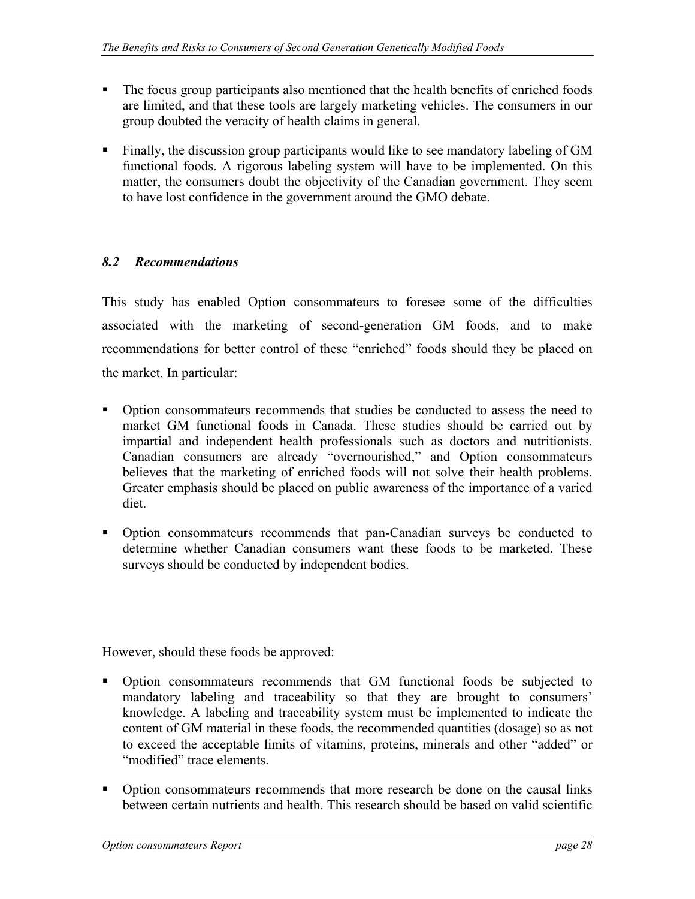- <span id="page-27-0"></span>• The focus group participants also mentioned that the health benefits of enriched foods are limited, and that these tools are largely marketing vehicles. The consumers in our group doubted the veracity of health claims in general.
- Finally, the discussion group participants would like to see mandatory labeling of GM functional foods. A rigorous labeling system will have to be implemented. On this matter, the consumers doubt the objectivity of the Canadian government. They seem to have lost confidence in the government around the GMO debate.

#### *8.2 Recommendations*

This study has enabled Option consommateurs to foresee some of the difficulties associated with the marketing of second-generation GM foods, and to make recommendations for better control of these "enriched" foods should they be placed on the market. In particular:

- Option consommateurs recommends that studies be conducted to assess the need to market GM functional foods in Canada. These studies should be carried out by impartial and independent health professionals such as doctors and nutritionists. Canadian consumers are already "overnourished," and Option consommateurs believes that the marketing of enriched foods will not solve their health problems. Greater emphasis should be placed on public awareness of the importance of a varied diet.
- Option consommateurs recommends that pan-Canadian surveys be conducted to determine whether Canadian consumers want these foods to be marketed. These surveys should be conducted by independent bodies.

However, should these foods be approved:

- Option consommateurs recommends that GM functional foods be subjected to mandatory labeling and traceability so that they are brought to consumers' knowledge. A labeling and traceability system must be implemented to indicate the content of GM material in these foods, the recommended quantities (dosage) so as not to exceed the acceptable limits of vitamins, proteins, minerals and other "added" or "modified" trace elements.
- Option consommateurs recommends that more research be done on the causal links between certain nutrients and health. This research should be based on valid scientific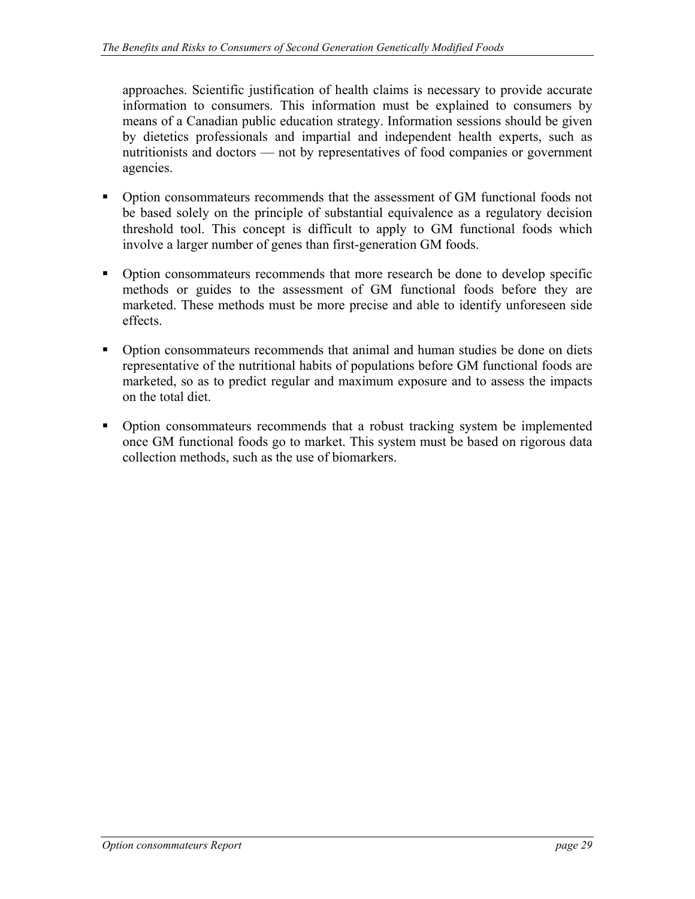approaches. Scientific justification of health claims is necessary to provide accurate information to consumers. This information must be explained to consumers by means of a Canadian public education strategy. Information sessions should be given by dietetics professionals and impartial and independent health experts, such as nutritionists and doctors — not by representatives of food companies or government agencies.

- Option consommateurs recommends that the assessment of GM functional foods not be based solely on the principle of substantial equivalence as a regulatory decision threshold tool. This concept is difficult to apply to GM functional foods which involve a larger number of genes than first-generation GM foods.
- Option consommateurs recommends that more research be done to develop specific methods or guides to the assessment of GM functional foods before they are marketed. These methods must be more precise and able to identify unforeseen side effects.
- Option consommateurs recommends that animal and human studies be done on diets representative of the nutritional habits of populations before GM functional foods are marketed, so as to predict regular and maximum exposure and to assess the impacts on the total diet.
- Option consommateurs recommends that a robust tracking system be implemented once GM functional foods go to market. This system must be based on rigorous data collection methods, such as the use of biomarkers.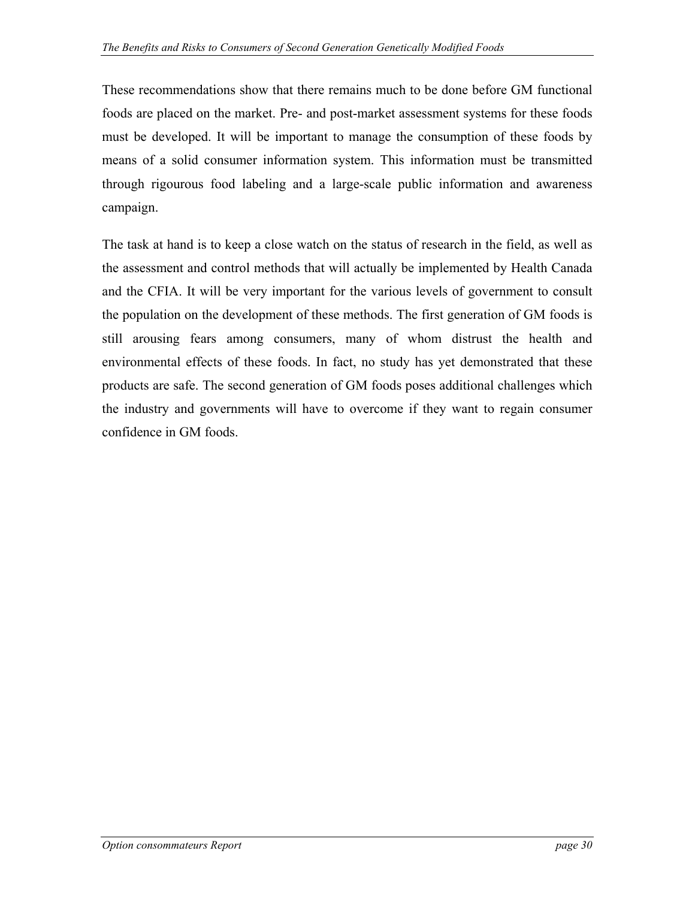These recommendations show that there remains much to be done before GM functional foods are placed on the market. Pre- and post-market assessment systems for these foods must be developed. It will be important to manage the consumption of these foods by means of a solid consumer information system. This information must be transmitted through rigourous food labeling and a large-scale public information and awareness campaign.

The task at hand is to keep a close watch on the status of research in the field, as well as the assessment and control methods that will actually be implemented by Health Canada and the CFIA. It will be very important for the various levels of government to consult the population on the development of these methods. The first generation of GM foods is still arousing fears among consumers, many of whom distrust the health and environmental effects of these foods. In fact, no study has yet demonstrated that these products are safe. The second generation of GM foods poses additional challenges which the industry and governments will have to overcome if they want to regain consumer confidence in GM foods.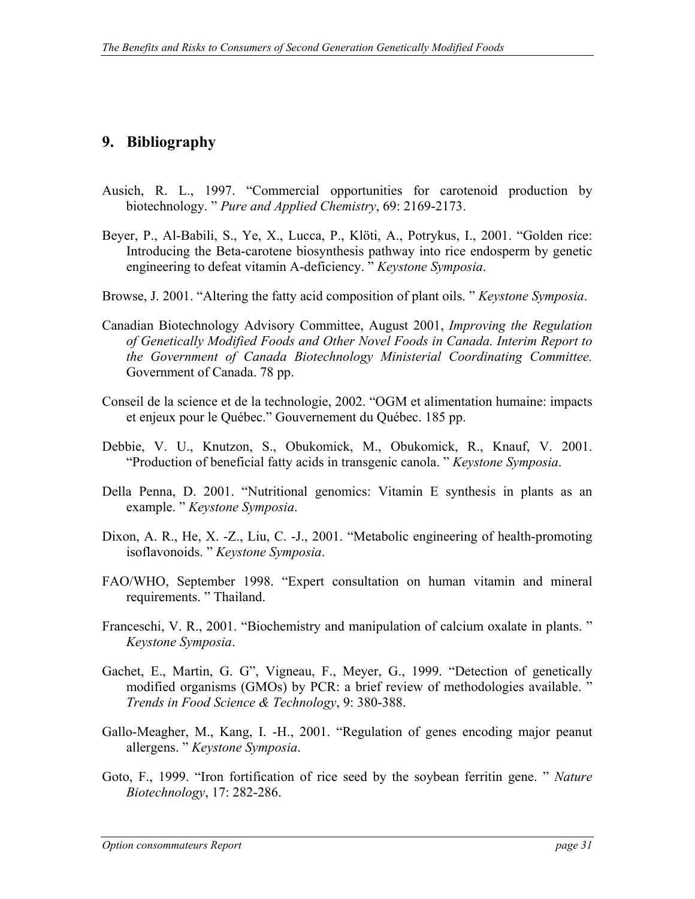### <span id="page-30-0"></span>**9. Bibliography**

- Ausich, R. L., 1997. "Commercial opportunities for carotenoid production by biotechnology. " *Pure and Applied Chemistry*, 69: 2169-2173.
- Beyer, P., Al-Babili, S., Ye, X., Lucca, P., Klöti, A., Potrykus, I., 2001. "Golden rice: Introducing the Beta-carotene biosynthesis pathway into rice endosperm by genetic engineering to defeat vitamin A-deficiency. " *Keystone Symposia*.
- Browse, J. 2001. "Altering the fatty acid composition of plant oils. " *Keystone Symposia*.
- Canadian Biotechnology Advisory Committee, August 2001, *Improving the Regulation of Genetically Modified Foods and Other Novel Foods in Canada. Interim Report to the Government of Canada Biotechnology Ministerial Coordinating Committee.*  Government of Canada. 78 pp.
- Conseil de la science et de la technologie, 2002. "OGM et alimentation humaine: impacts et enjeux pour le Québec." Gouvernement du Québec. 185 pp.
- Debbie, V. U., Knutzon, S., Obukomick, M., Obukomick, R., Knauf, V. 2001. "Production of beneficial fatty acids in transgenic canola. " *Keystone Symposia*.
- Della Penna, D. 2001. "Nutritional genomics: Vitamin E synthesis in plants as an example. " *Keystone Symposia*.
- Dixon, A. R., He, X. -Z., Liu, C. -J., 2001. "Metabolic engineering of health-promoting isoflavonoids. " *Keystone Symposia*.
- FAO/WHO, September 1998. "Expert consultation on human vitamin and mineral requirements. " Thailand.
- Franceschi, V. R., 2001. "Biochemistry and manipulation of calcium oxalate in plants. " *Keystone Symposia*.
- Gachet, E., Martin, G. G", Vigneau, F., Meyer, G., 1999. "Detection of genetically modified organisms (GMOs) by PCR: a brief review of methodologies available. " *Trends in Food Science & Technology*, 9: 380-388.
- Gallo-Meagher, M., Kang, I. -H., 2001. "Regulation of genes encoding major peanut allergens. " *Keystone Symposia*.
- Goto, F., 1999. "Iron fortification of rice seed by the soybean ferritin gene. " *Nature Biotechnology*, 17: 282-286.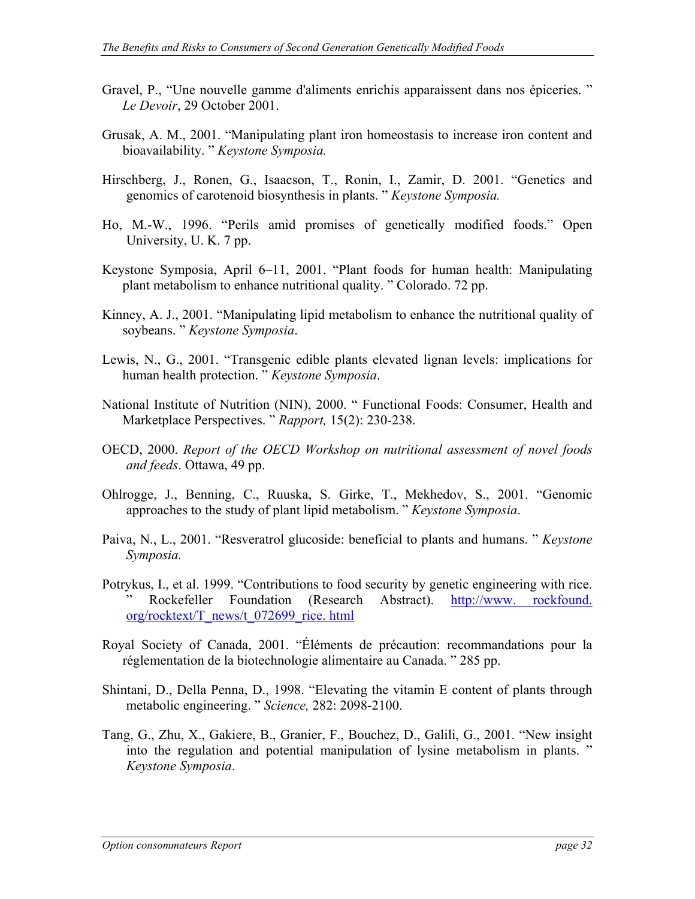- Gravel, P., "Une nouvelle gamme d'aliments enrichis apparaissent dans nos épiceries. " *Le Devoir*, 29 October 2001.
- Grusak, A. M., 2001. "Manipulating plant iron homeostasis to increase iron content and bioavailability. " *Keystone Symposia.*
- Hirschberg, J., Ronen, G., Isaacson, T., Ronin, I., Zamir, D. 2001. "Genetics and genomics of carotenoid biosynthesis in plants. " *Keystone Symposia.*
- Ho, M.-W., 1996. "Perils amid promises of genetically modified foods." Open University, U. K. 7 pp.
- Keystone Symposia, April 6–11, 2001. "Plant foods for human health: Manipulating plant metabolism to enhance nutritional quality. " Colorado. 72 pp.
- Kinney, A. J., 2001. "Manipulating lipid metabolism to enhance the nutritional quality of soybeans. " *Keystone Symposia*.
- Lewis, N., G., 2001. "Transgenic edible plants elevated lignan levels: implications for human health protection. " *Keystone Symposia*.
- National Institute of Nutrition (NIN), 2000. " Functional Foods: Consumer, Health and Marketplace Perspectives. " *Rapport,* 15(2): 230-238.
- OECD, 2000. *Report of the OECD Workshop on nutritional assessment of novel foods and feeds*. Ottawa, 49 pp.
- Ohlrogge, J., Benning, C., Ruuska, S. Girke, T., Mekhedov, S., 2001. "Genomic approaches to the study of plant lipid metabolism. " *Keystone Symposia*.
- Paiva, N., L., 2001. "Resveratrol glucoside: beneficial to plants and humans. " *Keystone Symposia.*
- Potrykus, I., et al. 1999. "Contributions to food security by genetic engineering with rice. " Rockefeller Foundation (Research Abstract). [http://www. rockfound.](http://www.rockfound.org/rocktext/T_news/t_072699_rice.html)  [org/rocktext/T\\_news/t\\_072699\\_rice. html](http://www.rockfound.org/rocktext/T_news/t_072699_rice.html)
- Royal Society of Canada, 2001. "Éléments de précaution: recommandations pour la réglementation de la biotechnologie alimentaire au Canada. " 285 pp.
- Shintani, D., Della Penna, D., 1998. "Elevating the vitamin E content of plants through metabolic engineering. " *Science,* 282: 2098-2100.
- Tang, G., Zhu, X., Gakiere, B., Granier, F., Bouchez, D., Galili, G., 2001. "New insight into the regulation and potential manipulation of lysine metabolism in plants. " *Keystone Symposia*.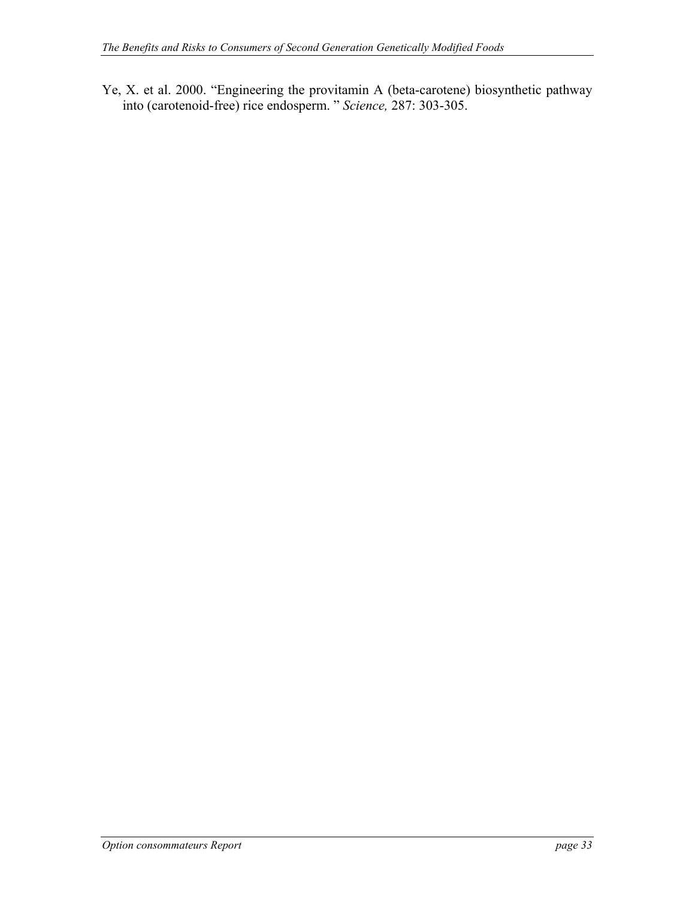Ye, X. et al. 2000. "Engineering the provitamin A (beta-carotene) biosynthetic pathway into (carotenoid-free) rice endosperm. " *Science,* 287: 303-305.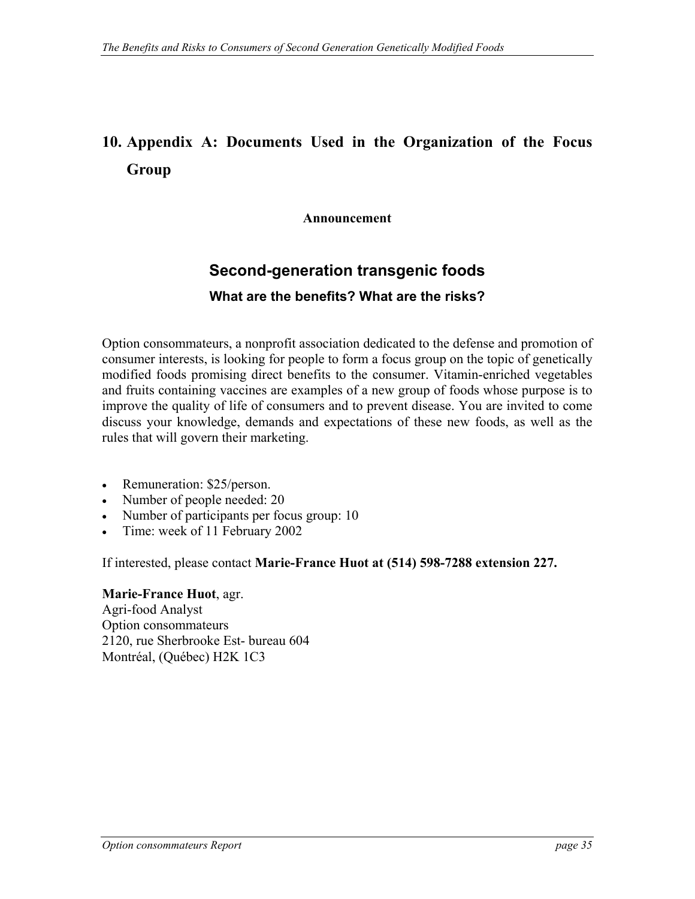# <span id="page-34-0"></span>**10. Appendix A: Documents Used in the Organization of the Focus Group**

**Announcement** 

### **Second-generation transgenic foods**

#### **What are the benefits? What are the risks?**

Option consommateurs, a nonprofit association dedicated to the defense and promotion of consumer interests, is looking for people to form a focus group on the topic of genetically modified foods promising direct benefits to the consumer. Vitamin-enriched vegetables and fruits containing vaccines are examples of a new group of foods whose purpose is to improve the quality of life of consumers and to prevent disease. You are invited to come discuss your knowledge, demands and expectations of these new foods, as well as the rules that will govern their marketing.

- Remuneration: \$25/person.
- Number of people needed: 20
- Number of participants per focus group: 10
- Time: week of 11 February 2002

If interested, please contact **Marie-France Huot at (514) 598-7288 extension 227.** 

#### **Marie-France Huot**, agr.

Agri-food Analyst Option consommateurs 2120, rue Sherbrooke Est- bureau 604 Montréal, (Québec) H2K 1C3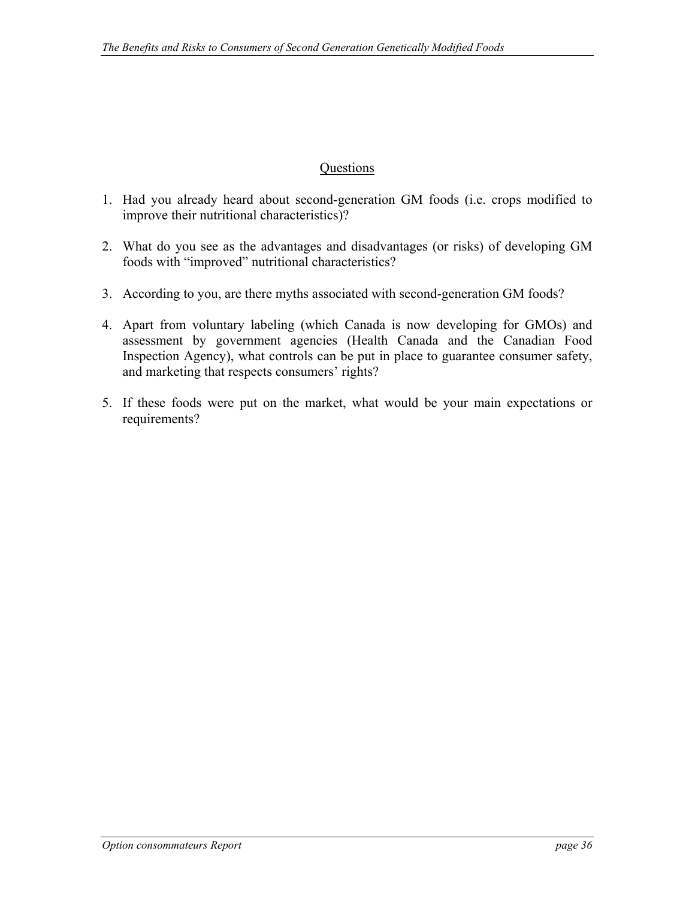#### **Questions**

- 1. Had you already heard about second-generation GM foods (i.e. crops modified to improve their nutritional characteristics)?
- 2. What do you see as the advantages and disadvantages (or risks) of developing GM foods with "improved" nutritional characteristics?
- 3. According to you, are there myths associated with second-generation GM foods?
- 4. Apart from voluntary labeling (which Canada is now developing for GMOs) and assessment by government agencies (Health Canada and the Canadian Food Inspection Agency), what controls can be put in place to guarantee consumer safety, and marketing that respects consumers' rights?
- 5. If these foods were put on the market, what would be your main expectations or requirements?